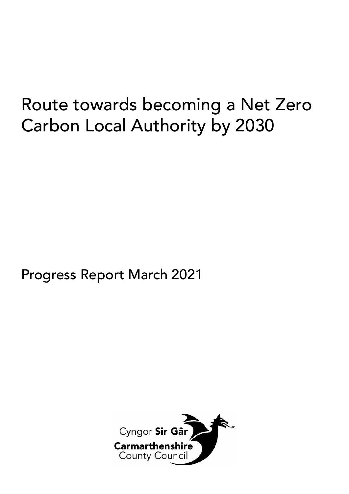# Route towards becoming a Net Zero Carbon Local Authority by 2030

# Progress Report March 2021

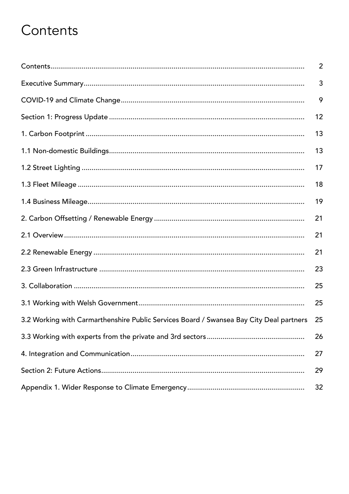# Contents

|                                                                                         | $\overline{2}$ |
|-----------------------------------------------------------------------------------------|----------------|
|                                                                                         | 3              |
|                                                                                         | 9              |
|                                                                                         | 12             |
|                                                                                         | 13             |
|                                                                                         | 13             |
|                                                                                         | 17             |
|                                                                                         | 18             |
|                                                                                         | 19             |
|                                                                                         | 21             |
|                                                                                         | 21             |
|                                                                                         | 21             |
|                                                                                         | 23             |
|                                                                                         | 25             |
|                                                                                         | 25             |
| 3.2 Working with Carmarthenshire Public Services Board / Swansea Bay City Deal partners | 25             |
|                                                                                         | 26             |
|                                                                                         | 27             |
|                                                                                         | 29             |
|                                                                                         | 32             |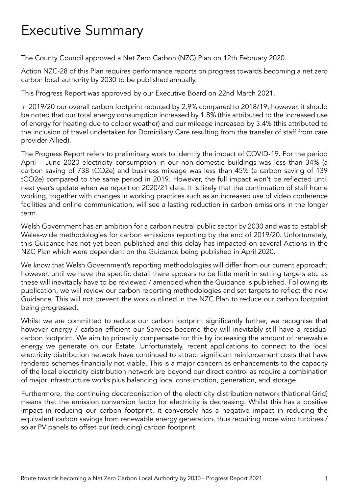# Executive Summary

The County Council approved a Net Zero Carbon (NZC) Plan on 12th February 2020.

Action NZC-28 of this Plan requires performance reports on progress towards becoming a net zero carbon local authority by 2030 to be published annually.

This Progress Report was approved by our Executive Board on 22nd March 2021.

In 2019/20 our overall carbon footprint reduced by 2.9% compared to 2018/19; however, it should be noted that our total energy consumption increased by 1.8% (this attributed to the increased use of energy for heating due to colder weather) and our mileage increased by 3.4% (this attributed to the inclusion of travel undertaken for Domiciliary Care resulting from the transfer of staff from care provider Allied).

The Progress Report refers to preliminary work to identify the impact of COVID-19. For the period April – June 2020 electricity consumption in our non-domestic buildings was less than 34% (a carbon saving of 738 tCO2e) and business mileage was less than 45% (a carbon saving of 139 tCO2e) compared to the same period in 2019. However, the full impact won't be reflected until next year's update when we report on 2020/21 data. It is likely that the continuation of staff home working, together with changes in working practices such as an increased use of video conference facilities and online communication, will see a lasting reduction in carbon emissions in the longer term.

Welsh Government has an ambition for a carbon neutral public sector by 2030 and was to establish Wales-wide methodologies for carbon emissions reporting by the end of 2019/20. Unfortunately, this Guidance has not yet been published and this delay has impacted on several Actions in the NZC Plan which were dependent on the Guidance being published in April 2020.

We know that Welsh Government's reporting methodologies will differ from our current approach; however, until we have the specific detail there appears to be little merit in setting targets etc. as these will inevitably have to be reviewed / amended when the Guidance is published. Following its publication, we will review our carbon reporting methodologies and set targets to reflect the new Guidance. This will not prevent the work outlined in the NZC Plan to reduce our carbon footprint being progressed.

Whilst we are committed to reduce our carbon footprint significantly further, we recognise that however energy / carbon efficient our Services become they will inevitably still have a residual carbon footprint. We aim to primarily compensate for this by increasing the amount of renewable energy we generate on our Estate. Unfortunately, recent applications to connect to the local electricity distribution network have continued to attract significant reinforcement costs that have rendered schemes financially not viable. This is a major concern as enhancements to the capacity of the local electricity distribution network are beyond our direct control as require a combination of major infrastructure works plus balancing local consumption, generation, and storage.

Furthermore, the continuing decarbonisation of the electricity distribution network (National Grid) means that the emission conversion factor for electricity is decreasing. Whilst this has a positive impact in reducing our carbon footprint, it conversely has a negative impact in reducing the equivalent carbon savings from renewable energy generation, thus requiring more wind turbines / solar PV panels to offset our (reducing) carbon footprint.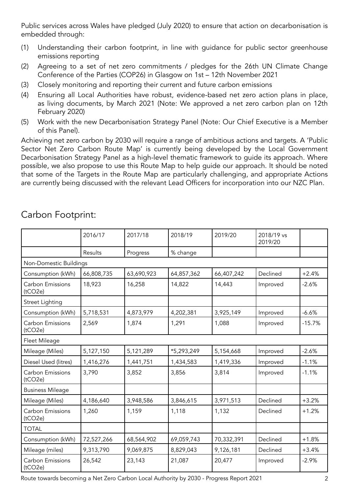Public services across Wales have pledged (July 2020) to ensure that action on decarbonisation is embedded through:

- (1) Understanding their carbon footprint, in line with guidance for public sector greenhouse emissions reporting
- (2) Agreeing to a set of net zero commitments / pledges for the 26th UN Climate Change Conference of the Parties (COP26) in Glasgow on 1st – 12th November 2021
- (3) Closely monitoring and reporting their current and future carbon emissions
- (4) Ensuring all Local Authorities have robust, evidence-based net zero action plans in place, as living documents, by March 2021 (Note: We approved a net zero carbon plan on 12th February 2020)
- (5) Work with the new Decarbonisation Strategy Panel (Note: Our Chief Executive is a Member of this Panel).

Achieving net zero carbon by 2030 will require a range of ambitious actions and targets. A 'Public Sector Net Zero Carbon Route Map' is currently being developed by the Local Government Decarbonisation Strategy Panel as a high-level thematic framework to guide its approach. Where possible, we also propose to use this Route Map to help guide our approach. It should be noted that some of the Targets in the Route Map are particularly challenging, and appropriate Actions are currently being discussed with the relevant Lead Officers for incorporation into our NZC Plan.

|                             | 2016/17    | 2017/18    | 2018/19    | 2019/20    | 2018/19 vs<br>2019/20 |          |
|-----------------------------|------------|------------|------------|------------|-----------------------|----------|
|                             | Results    | Progress   | % change   |            |                       |          |
| Non-Domestic Buildings      |            |            |            |            |                       |          |
| Consumption (kWh)           | 66,808,735 | 63,690,923 | 64,857,362 | 66,407,242 | Declined              | $+2.4%$  |
| Carbon Emissions<br>(tCO2e) | 18,923     | 16,258     | 14,822     | 14,443     | Improved              | $-2.6%$  |
| Street Lighting             |            |            |            |            |                       |          |
| Consumption (kWh)           | 5,718,531  | 4,873,979  | 4,202,381  | 3,925,149  | Improved              | $-6.6%$  |
| Carbon Emissions<br>(tCO2e) | 2,569      | 1,874      | 1,291      | 1,088      | Improved              | $-15.7%$ |
| Fleet Mileage               |            |            |            |            |                       |          |
| Mileage (Miles)             | 5,127,150  | 5,121,289  | *5,293,249 | 5,154,668  | Improved              | $-2.6%$  |
| Diesel Used (litres)        | 1,416,276  | 1,441,751  | 1,434,583  | 1,419,336  | Improved              | $-1.1%$  |
| Carbon Emissions<br>(tCO2e) | 3,790      | 3,852      | 3,856      | 3,814      | Improved              | $-1.1%$  |
| <b>Business Mileage</b>     |            |            |            |            |                       |          |
| Mileage (Miles)             | 4,186,640  | 3,948,586  | 3,846,615  | 3,971,513  | Declined              | $+3.2%$  |
| Carbon Emissions<br>(tCO2e) | 1,260      | 1,159      | 1,118      | 1,132      | Declined              | $+1.2%$  |
| <b>TOTAL</b>                |            |            |            |            |                       |          |
| Consumption (kWh)           | 72,527,266 | 68,564,902 | 69,059,743 | 70,332,391 | Declined              | $+1.8%$  |
| Mileage (miles)             | 9,313,790  | 9,069,875  | 8,829,043  | 9,126,181  | Declined              | $+3.4%$  |
| Carbon Emissions<br>(tCO2e) | 26,542     | 23,143     | 21,087     | 20,477     | Improved              | $-2.9%$  |

# Carbon Footprint: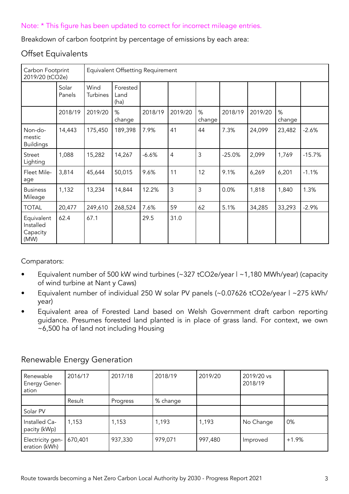### Note: \* This figure has been updated to correct for incorrect mileage entries.

Breakdown of carbon footprint by percentage of emissions by each area:

### Offset Equivalents

| Carbon Footprint<br>2019/20 (tCO2e)         |                 | Equivalent Offsetting Requirement |                          |         |                |             |          |         |             |          |
|---------------------------------------------|-----------------|-----------------------------------|--------------------------|---------|----------------|-------------|----------|---------|-------------|----------|
|                                             | Solar<br>Panels | Wind<br>Turbines                  | Forested<br>Land<br>(ha) |         |                |             |          |         |             |          |
|                                             | 2018/19         | 2019/20                           | %<br>change              | 2018/19 | 2019/20        | %<br>change | 2018/19  | 2019/20 | %<br>change |          |
| Non-do-<br>mestic<br><b>Buildings</b>       | 14,443          | 175,450                           | 189,398                  | 7.9%    | 41             | 44          | 7.3%     | 24,099  | 23,482      | $-2.6%$  |
| Street<br>Lighting                          | 1,088           | 15,282                            | 14,267                   | $-6.6%$ | $\overline{4}$ | 3           | $-25.0%$ | 2,099   | 1,769       | $-15.7%$ |
| Fleet Mile-<br>age                          | 3,814           | 45,644                            | 50,015                   | 9.6%    | 11             | 12          | 9.1%     | 6,269   | 6,201       | $-1.1%$  |
| <b>Business</b><br>Mileage                  | 1,132           | 13,234                            | 14,844                   | 12.2%   | 3              | 3           | 0.0%     | 1,818   | 1,840       | 1.3%     |
| <b>TOTAL</b>                                | 20,477          | 249,610                           | 268,524                  | 7.6%    | 59             | 62          | 5.1%     | 34,285  | 33,293      | $-2.9%$  |
| Equivalent<br>Installed<br>Capacity<br>(MW) | 62.4            | 67.1                              |                          | 29.5    | 31.0           |             |          |         |             |          |

Comparators:

- Equivalent number of 500 kW wind turbines (~327 tCO2e/year | ~1,180 MWh/year) (capacity of wind turbine at Nant y Caws)
- Equivalent number of individual 250 W solar PV panels (~0.07626 tCO2e/year | ~275 kWh/ year)
- Equivalent area of Forested Land based on Welsh Government draft carbon reporting guidance. Presumes forested land planted is in place of grass land. For context, we own ~6,500 ha of land not including Housing

| Renewable<br><b>Energy Gener-</b><br>ation | 2016/17 | 2017/18  | 2018/19  | 2019/20 | 2019/20 vs<br>2018/19 |         |
|--------------------------------------------|---------|----------|----------|---------|-----------------------|---------|
|                                            | Result  | Progress | % change |         |                       |         |
| Solar PV                                   |         |          |          |         |                       |         |
| Installed Ca-<br>pacity (kWp)              | 1,153   | 1,153    | 1,193    | 1,193   | No Change             | 0%      |
| Electricity gen-<br>eration (kWh)          | 670,401 | 937,330  | 979,071  | 997,480 | Improved              | $+1.9%$ |

## Renewable Energy Generation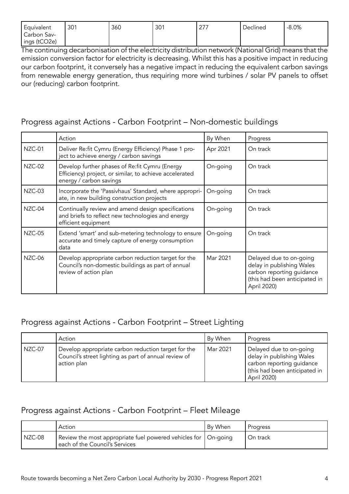| Equivalent   | 301 | 360 | 201<br>ou. | 211 | Declined | $-8.0%$ |
|--------------|-----|-----|------------|-----|----------|---------|
| Carbon Sav-  |     |     |            |     |          |         |
| ings (tCO2e) |     |     |            |     |          |         |

The continuing decarbonisation of the electricity distribution network (National Grid) means that the emission conversion factor for electricity is decreasing. Whilst this has a positive impact in reducing our carbon footprint, it conversely has a negative impact in reducing the equivalent carbon savings from renewable energy generation, thus requiring more wind turbines / solar PV panels to offset our (reducing) carbon footprint.

## Progress against Actions - Carbon Footprint – Non-domestic buildings

|        | Action                                                                                                                               | By When  | Progress                                                                                                                          |
|--------|--------------------------------------------------------------------------------------------------------------------------------------|----------|-----------------------------------------------------------------------------------------------------------------------------------|
| NZC-01 | Deliver Re:fit Cymru (Energy Efficiency) Phase 1 pro-<br>ject to achieve energy / carbon savings                                     | Apr 2021 | On track                                                                                                                          |
| NZC-02 | Develop further phases of Re:fit Cymru (Energy<br>Efficiency) project, or similar, to achieve accelerated<br>energy / carbon savings | On-going | On track                                                                                                                          |
| NZC-03 | Incorporate the 'Passivhaus' Standard, where appropri-<br>ate, in new building construction projects                                 | On-going | On track                                                                                                                          |
| NZC-04 | Continually review and amend design specifications<br>and briefs to reflect new technologies and energy<br>efficient equipment       | On-going | On track                                                                                                                          |
| NZC-05 | Extend 'smart' and sub-metering technology to ensure<br>accurate and timely capture of energy consumption<br>data                    | On-going | On track                                                                                                                          |
| NZC-06 | Develop appropriate carbon reduction target for the<br>Council's non-domestic buildings as part of annual<br>review of action plan   | Mar 2021 | Delayed due to on-going<br>delay in publishing Wales<br>carbon reporting guidance<br>(this had been anticipated in<br>April 2020) |

# Progress against Actions - Carbon Footprint – Street Lighting

|        | Action                                                                                                                      | By When  | Progress                                                                                                                         |
|--------|-----------------------------------------------------------------------------------------------------------------------------|----------|----------------------------------------------------------------------------------------------------------------------------------|
| NZC-07 | Develop appropriate carbon reduction target for the<br>Council's street lighting as part of annual review of<br>action plan | Mar 2021 | Delayed due to on-going<br>delay in publishing Wales<br>carbon reporting guidance<br>this had been anticipated in<br>April 2020) |

# Progress against Actions - Carbon Footprint – Fleet Mileage

|          | Action                                                                                             | By When | Progress |
|----------|----------------------------------------------------------------------------------------------------|---------|----------|
| $NZC-08$ | Review the most appropriate fuel powered vehicles for   On-going<br>each of the Council's Services |         | On track |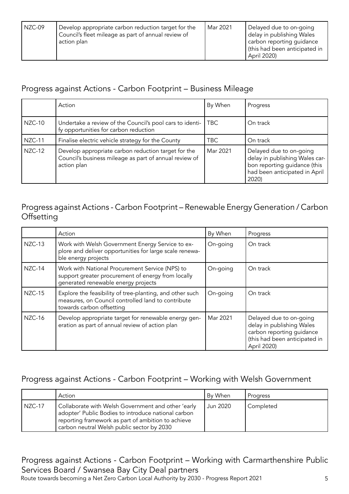| NZC-09 | Develop appropriate carbon reduction target for the<br>Council's fleet mileage as part of annual review of<br>action plan | Mar 2021 | Delayed due to on-going<br>delay in publishing Wales<br>carbon reporting guidance<br>this had been anticipated in<br>April 2020) |
|--------|---------------------------------------------------------------------------------------------------------------------------|----------|----------------------------------------------------------------------------------------------------------------------------------|
|--------|---------------------------------------------------------------------------------------------------------------------------|----------|----------------------------------------------------------------------------------------------------------------------------------|

# Progress against Actions - Carbon Footprint – Business Mileage

|        | Action                                                                                                                       | By When    | Progress                                                                                                                            |
|--------|------------------------------------------------------------------------------------------------------------------------------|------------|-------------------------------------------------------------------------------------------------------------------------------------|
| NZC-10 | Undertake a review of the Council's pool cars to identi-<br>fy opportunities for carbon reduction                            | <b>TBC</b> | On track                                                                                                                            |
| NZC-11 | Finalise electric vehicle strategy for the County                                                                            | TBC        | On track                                                                                                                            |
| NZC-12 | Develop appropriate carbon reduction target for the<br>Council's business mileage as part of annual review of<br>action plan | Mar 2021   | Delayed due to on-going<br>delay in publishing Wales car-<br>bon reporting guidance (this<br>had been anticipated in April<br>2020) |

# Progress against Actions - Carbon Footprint – Renewable Energy Generation / Carbon **Offsetting**

|               | Action                                                                                                                                       | By When  | Progress                                                                                                                          |
|---------------|----------------------------------------------------------------------------------------------------------------------------------------------|----------|-----------------------------------------------------------------------------------------------------------------------------------|
| <b>NZC-13</b> | Work with Welsh Government Energy Service to ex-<br>plore and deliver opportunities for large scale renewa-<br>ble energy projects           | On-going | On track                                                                                                                          |
| NZC-14        | Work with National Procurement Service (NPS) to<br>support greater procurement of energy from locally<br>generated renewable energy projects | On-going | On track                                                                                                                          |
| <b>NZC-15</b> | Explore the feasibility of tree-planting, and other such<br>measures, on Council controlled land to contribute<br>towards carbon offsetting  | On-going | On track                                                                                                                          |
| NZC-16        | Develop appropriate target for renewable energy gen-<br>eration as part of annual review of action plan                                      | Mar 2021 | Delayed due to on-going<br>delay in publishing Wales<br>carbon reporting guidance<br>(this had been anticipated in<br>April 2020) |

# Progress against Actions - Carbon Footprint – Working with Welsh Government

|          | Action                                                                                                                                                                                                        | By When  | Progress  |
|----------|---------------------------------------------------------------------------------------------------------------------------------------------------------------------------------------------------------------|----------|-----------|
| l NZC-17 | Collaborate with Welsh Government and other 'early<br>adopter' Public Bodies to introduce national carbon<br>reporting framework as part of ambition to achieve<br>carbon neutral Welsh public sector by 2030 | Jun 2020 | Completed |

# Progress against Actions - Carbon Footprint – Working with Carmarthenshire Public Services Board / Swansea Bay City Deal partners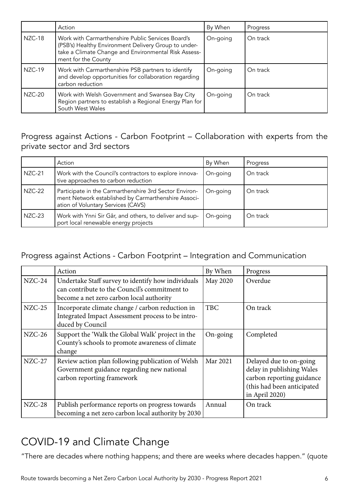|               | Action                                                                                                                                                                                   | By When  | Progress |
|---------------|------------------------------------------------------------------------------------------------------------------------------------------------------------------------------------------|----------|----------|
| NZC-18        | Work with Carmarthenshire Public Services Board's<br>(PSB's) Healthy Environment Delivery Group to under-<br>take a Climate Change and Environmental Risk Assess-<br>ment for the County | On-going | On track |
| NZC-19        | Work with Carmarthenshire PSB partners to identify<br>and develop opportunities for collaboration regarding<br>carbon reduction                                                          | On-going | On track |
| <b>NZC-20</b> | Work with Welsh Government and Swansea Bay City<br>Region partners to establish a Regional Energy Plan for<br>South West Wales                                                           | On-going | On track |

Progress against Actions - Carbon Footprint – Collaboration with experts from the private sector and 3rd sectors

|               | Action                                                                                                                                              | By When  | Progress |
|---------------|-----------------------------------------------------------------------------------------------------------------------------------------------------|----------|----------|
| <b>NZC-21</b> | Work with the Council's contractors to explore innova-<br>tive approaches to carbon reduction                                                       | On-going | On track |
| NZC-22        | Participate in the Carmarthenshire 3rd Sector Environ-<br>ment Network established by Carmarthenshire Associ-<br>ation of Voluntary Services (CAVS) | On-going | On track |
| NZC-23        | Work with Ynni Sir Gâr, and others, to deliver and sup-<br>port local renewable energy projects                                                     | On-going | On track |

# Progress against Actions - Carbon Footprint – Integration and Communication

|          | Action                                                                                                                                          | By When    | Progress                                                                                                                          |
|----------|-------------------------------------------------------------------------------------------------------------------------------------------------|------------|-----------------------------------------------------------------------------------------------------------------------------------|
| $NZC-24$ | Undertake Staff survey to identify how individuals<br>can contribute to the Council's commitment to<br>become a net zero carbon local authority | May 2020   | Overdue                                                                                                                           |
| $NZC-25$ | Incorporate climate change / carbon reduction in<br>Integrated Impact Assessment process to be intro-<br>duced by Council                       | <b>TBC</b> | On track                                                                                                                          |
| $NZC-26$ | Support the 'Walk the Global Walk' project in the<br>County's schools to promote awareness of climate<br>change                                 | On-going   | Completed                                                                                                                         |
| $NZC-27$ | Review action plan following publication of Welsh<br>Government guidance regarding new national<br>carbon reporting framework                   | Mar 2021   | Delayed due to on-going<br>delay in publishing Wales<br>carbon reporting guidance<br>(this had been anticipated<br>in April 2020) |
| $NZC-28$ | Publish performance reports on progress towards<br>becoming a net zero carbon local authority by 2030                                           | Annual     | On track                                                                                                                          |

# COVID-19 and Climate Change

"There are decades where nothing happens; and there are weeks where decades happen." (quote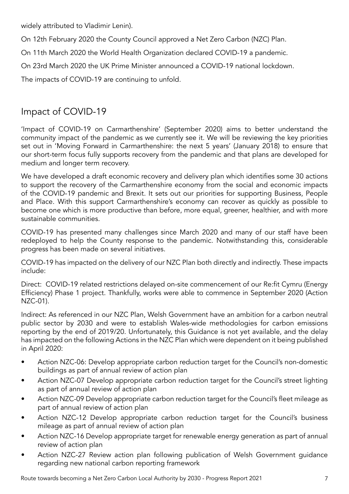widely attributed to Vladimir Lenin).

On 12th February 2020 the County Council approved a Net Zero Carbon (NZC) Plan.

On 11th March 2020 the World Health Organization declared COVID-19 a pandemic.

On 23rd March 2020 the UK Prime Minister announced a COVID-19 national lockdown.

The impacts of COVID-19 are continuing to unfold.

# Impact of COVID-19

'Impact of COVID-19 on Carmarthenshire' (September 2020) aims to better understand the community impact of the pandemic as we currently see it. We will be reviewing the key priorities set out in 'Moving Forward in Carmarthenshire: the next 5 years' (January 2018) to ensure that our short-term focus fully supports recovery from the pandemic and that plans are developed for medium and longer term recovery.

We have developed a draft economic recovery and delivery plan which identifies some 30 actions to support the recovery of the Carmarthenshire economy from the social and economic impacts of the COVID-19 pandemic and Brexit. It sets out our priorities for supporting Business, People and Place. With this support Carmarthenshire's economy can recover as quickly as possible to become one which is more productive than before, more equal, greener, healthier, and with more sustainable communities.

COVID-19 has presented many challenges since March 2020 and many of our staff have been redeployed to help the County response to the pandemic. Notwithstanding this, considerable progress has been made on several initiatives.

COVID-19 has impacted on the delivery of our NZC Plan both directly and indirectly. These impacts include:

Direct: COVID-19 related restrictions delayed on-site commencement of our Re:fit Cymru (Energy Efficiency) Phase 1 project. Thankfully, works were able to commence in September 2020 (Action NZC-01).

Indirect: As referenced in our NZC Plan, Welsh Government have an ambition for a carbon neutral public sector by 2030 and were to establish Wales-wide methodologies for carbon emissions reporting by the end of 2019/20. Unfortunately, this Guidance is not yet available, and the delay has impacted on the following Actions in the NZC Plan which were dependent on it being published in April 2020:

- Action NZC-06: Develop appropriate carbon reduction target for the Council's non-domestic buildings as part of annual review of action plan
- Action NZC-07 Develop appropriate carbon reduction target for the Council's street lighting as part of annual review of action plan
- Action NZC-09 Develop appropriate carbon reduction target for the Council's fleet mileage as part of annual review of action plan
- Action NZC-12 Develop appropriate carbon reduction target for the Council's business mileage as part of annual review of action plan
- Action NZC-16 Develop appropriate target for renewable energy generation as part of annual review of action plan
- Action NZC-27 Review action plan following publication of Welsh Government guidance regarding new national carbon reporting framework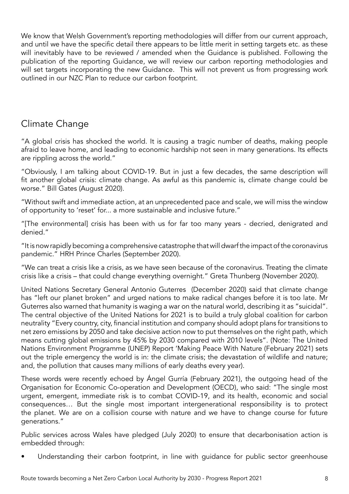We know that Welsh Government's reporting methodologies will differ from our current approach, and until we have the specific detail there appears to be little merit in setting targets etc. as these will inevitably have to be reviewed / amended when the Guidance is published. Following the publication of the reporting Guidance, we will review our carbon reporting methodologies and will set targets incorporating the new Guidance. This will not prevent us from progressing work outlined in our NZC Plan to reduce our carbon footprint.

# Climate Change

"A global crisis has shocked the world. It is causing a tragic number of deaths, making people afraid to leave home, and leading to economic hardship not seen in many generations. Its effects are rippling across the world."

"Obviously, I am talking about COVID-19. But in just a few decades, the same description will fit another global crisis: climate change. As awful as this pandemic is, climate change could be worse." Bill Gates (August 2020).

"Without swift and immediate action, at an unprecedented pace and scale, we will miss the window of opportunity to 'reset' for... a more sustainable and inclusive future."

"[The environmental] crisis has been with us for far too many years - decried, denigrated and denied."

"It is now rapidly becoming a comprehensive catastrophe that will dwarf the impact of the coronavirus pandemic." HRH Prince Charles (September 2020).

"We can treat a crisis like a crisis, as we have seen because of the coronavirus. Treating the climate crisis like a crisis – that could change everything overnight." Greta Thunberg (November 2020).

United Nations Secretary General Antonio Guterres (December 2020) said that climate change has "left our planet broken" and urged nations to make radical changes before it is too late. Mr Guterres also warned that humanity is waging a war on the natural world, describing it as "suicidal". The central objective of the United Nations for 2021 is to build a truly global coalition for carbon neutrality "Every country, city, financial institution and company should adopt plans for transitions to net zero emissions by 2050 and take decisive action now to put themselves on the right path, which means cutting global emissions by 45% by 2030 compared with 2010 levels". (Note: The United Nations Environment Programme (UNEP) Report 'Making Peace With Nature (February 2021) sets out the triple emergency the world is in: the climate crisis; the devastation of wildlife and nature; and, the pollution that causes many millions of early deaths every year).

These words were recently echoed by Ángel Gurría (February 2021), the outgoing head of the Organisation for Economic Co-operation and Development (OECD), who said: "The single most urgent, emergent, immediate risk is to combat COVID-19, and its health, economic and social consequences… But the single most important intergenerational responsibility is to protect the planet. We are on a collision course with nature and we have to change course for future generations."

Public services across Wales have pledged (July 2020) to ensure that decarbonisation action is embedded through:

Understanding their carbon footprint, in line with guidance for public sector greenhouse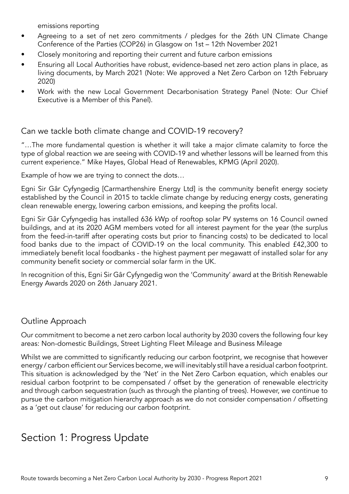emissions reporting

- Agreeing to a set of net zero commitments / pledges for the 26th UN Climate Change Conference of the Parties (COP26) in Glasgow on 1st – 12th November 2021
- Closely monitoring and reporting their current and future carbon emissions
- Ensuring all Local Authorities have robust, evidence-based net zero action plans in place, as living documents, by March 2021 (Note: We approved a Net Zero Carbon on 12th February 2020)
- Work with the new Local Government Decarbonisation Strategy Panel (Note: Our Chief Executive is a Member of this Panel).

# Can we tackle both climate change and COVID-19 recovery?

"…The more fundamental question is whether it will take a major climate calamity to force the type of global reaction we are seeing with COVID-19 and whether lessons will be learned from this current experience." Mike Hayes, Global Head of Renewables, KPMG (April 2020).

Example of how we are trying to connect the dots…

Egni Sir Gâr Cyfyngedig [Carmarthenshire Energy Ltd] is the community benefit energy society established by the Council in 2015 to tackle climate change by reducing energy costs, generating clean renewable energy, lowering carbon emissions, and keeping the profits local.

Egni Sir Gâr Cyfyngedig has installed 636 kWp of rooftop solar PV systems on 16 Council owned buildings, and at its 2020 AGM members voted for all interest payment for the year (the surplus from the feed-in-tariff after operating costs but prior to financing costs) to be dedicated to local food banks due to the impact of COVID-19 on the local community. This enabled £42,300 to immediately benefit local foodbanks - the highest payment per megawatt of installed solar for any community benefit society or commercial solar farm in the UK.

In recognition of this, Egni Sir Gâr Cyfyngedig won the 'Community' award at the British Renewable Energy Awards 2020 on 26th January 2021.

## Outline Approach

Our commitment to become a net zero carbon local authority by 2030 covers the following four key areas: Non-domestic Buildings, Street Lighting Fleet Mileage and Business Mileage

Whilst we are committed to significantly reducing our carbon footprint, we recognise that however energy / carbon efficient our Services become, we will inevitably still have a residual carbon footprint. This situation is acknowledged by the 'Net' in the Net Zero Carbon equation, which enables our residual carbon footprint to be compensated / offset by the generation of renewable electricity and through carbon sequestration (such as through the planting of trees). However, we continue to pursue the carbon mitigation hierarchy approach as we do not consider compensation / offsetting as a 'get out clause' for reducing our carbon footprint.

# Section 1: Progress Update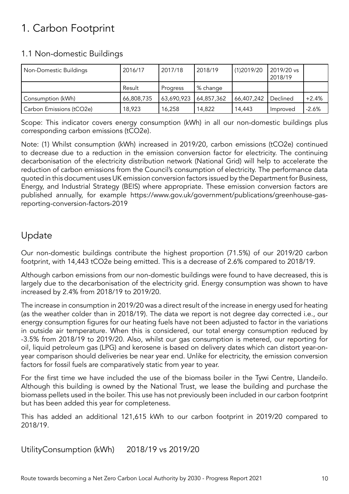# 1. Carbon Footprint

## 1.1 Non-domestic Buildings

| Non-Domestic Buildings   | 2016/17    | 2017/18    | 2018/19    | (1)2019/20 | 2019/20 vs<br>2018/19 |         |
|--------------------------|------------|------------|------------|------------|-----------------------|---------|
|                          | Result     | Progress   | % change   |            |                       |         |
| Consumption (kWh)        | 66,808,735 | 63,690,923 | 64,857,362 | 66,407,242 | Declined              | $+2.4%$ |
| Carbon Emissions (tCO2e) | 18,923     | 16,258     | 14,822     | 14,443     | Improved              | $-2.6%$ |

Scope: This indicator covers energy consumption (kWh) in all our non-domestic buildings plus corresponding carbon emissions (tCO2e).

Note: (1) Whilst consumption (kWh) increased in 2019/20, carbon emissions (tCO2e) continued to decrease due to a reduction in the emission conversion factor for electricity. The continuing decarbonisation of the electricity distribution network (National Grid) will help to accelerate the reduction of carbon emissions from the Council's consumption of electricity. The performance data quoted in this document uses UK emission conversion factors issued by the Department for Business, Energy, and Industrial Strategy (BEIS) where appropriate. These emission conversion factors are published annually, for example https://www.gov.uk/government/publications/greenhouse-gasreporting-conversion-factors-2019

# Update

Our non-domestic buildings contribute the highest proportion (71.5%) of our 2019/20 carbon footprint, with 14,443 tCO2e being emitted. This is a decrease of 2.6% compared to 2018/19.

Although carbon emissions from our non-domestic buildings were found to have decreased, this is largely due to the decarbonisation of the electricity grid. Energy consumption was shown to have increased by 2.4% from 2018/19 to 2019/20.

The increase in consumption in 2019/20 was a direct result of the increase in energy used for heating (as the weather colder than in 2018/19). The data we report is not degree day corrected i.e., our energy consumption figures for our heating fuels have not been adjusted to factor in the variations in outside air temperature. When this is considered, our total energy consumption reduced by -3.5% from 2018/19 to 2019/20. Also, whilst our gas consumption is metered, our reporting for oil, liquid petroleum gas (LPG) and kerosene is based on delivery dates which can distort year-onyear comparison should deliveries be near year end. Unlike for electricity, the emission conversion factors for fossil fuels are comparatively static from year to year.

For the first time we have included the use of the biomass boiler in the Tywi Centre, Llandeilo. Although this building is owned by the National Trust, we lease the building and purchase the biomass pellets used in the boiler. This use has not previously been included in our carbon footprint but has been added this year for completeness.

This has added an additional 121,615 kWh to our carbon footprint in 2019/20 compared to 2018/19.

UtilityConsumption (kWh) 2018/19 vs 2019/20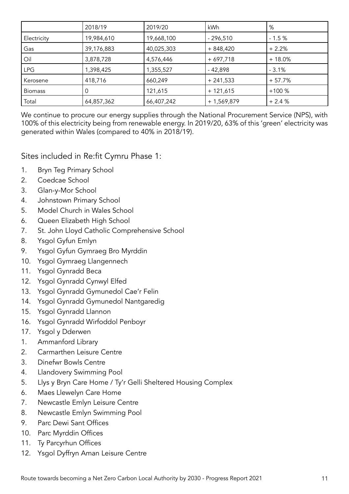|                | 2018/19    | 2019/20    | kWh          | %        |
|----------------|------------|------------|--------------|----------|
| Electricity    | 19,984,610 | 19,668,100 | $-296,510$   | $-1.5%$  |
| Gas            | 39,176,883 | 40,025,303 | $+848,420$   | $+2.2%$  |
| Oil            | 3,878,728  | 4,576,446  | $+697,718$   | $+18.0%$ |
| <b>LPG</b>     | ,398,425   | 1,355,527  | $-42,898$    | $-3.1%$  |
| Kerosene       | 418,716    | 660,249    | $+241,533$   | $+57.7%$ |
| <b>Biomass</b> | Ü          | 121,615    | $+ 121,615$  | $+100%$  |
| Total          | 64,857,362 | 66,407,242 | $+1,569,879$ | $+2.4%$  |

We continue to procure our energy supplies through the National Procurement Service (NPS), with 100% of this electricity being from renewable energy. In 2019/20, 63% of this 'green' electricity was generated within Wales (compared to 40% in 2018/19).

Sites included in Re:fit Cymru Phase 1:

- 1. Bryn Teg Primary School
- 2. Coedcae School
- 3. Glan-y-Mor School
- 4. Johnstown Primary School
- 5. Model Church in Wales School
- 6. Queen Elizabeth High School
- 7. St. John Lloyd Catholic Comprehensive School
- 8. Ysgol Gyfun Emlyn
- 9. Ysgol Gyfun Gymraeg Bro Myrddin
- 10. Ysgol Gymraeg Llangennech
- 11. Ysgol Gynradd Beca
- 12. Ysgol Gynradd Cynwyl Elfed
- 13. Ysgol Gynradd Gymunedol Cae'r Felin
- 14. Ysgol Gynradd Gymunedol Nantgaredig
- 15. Ysgol Gynradd Llannon
- 16. Ysgol Gynradd Wirfoddol Penboyr
- 17. Ysgol y Dderwen
- 1. Ammanford Library
- 2. Carmarthen Leisure Centre
- 3. Dinefwr Bowls Centre
- 4. Llandovery Swimming Pool
- 5. Llys y Bryn Care Home / Ty'r Gelli Sheltered Housing Complex
- 6. Maes Llewelyn Care Home
- 7. Newcastle Emlyn Leisure Centre
- 8. Newcastle Emlyn Swimming Pool
- 9. Parc Dewi Sant Offices
- 10. Parc Myrddin Offices
- 11. Ty Parcyrhun Offices
- 12. Ysgol Dyffryn Aman Leisure Centre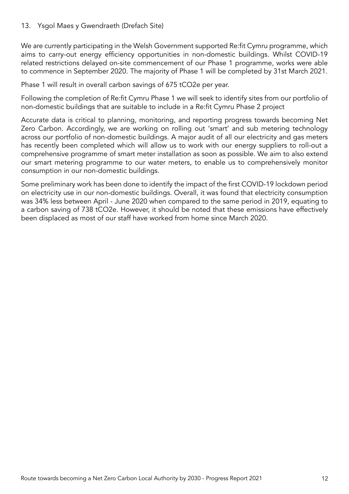#### 13. Ysgol Maes y Gwendraeth (Drefach Site)

We are currently participating in the Welsh Government supported Re:fit Cymru programme, which aims to carry-out energy efficiency opportunities in non-domestic buildings. Whilst COVID-19 related restrictions delayed on-site commencement of our Phase 1 programme, works were able to commence in September 2020. The majority of Phase 1 will be completed by 31st March 2021.

Phase 1 will result in overall carbon savings of 675 tCO2e per year.

Following the completion of Re:fit Cymru Phase 1 we will seek to identify sites from our portfolio of non-domestic buildings that are suitable to include in a Re:fit Cymru Phase 2 project

Accurate data is critical to planning, monitoring, and reporting progress towards becoming Net Zero Carbon. Accordingly, we are working on rolling out 'smart' and sub metering technology across our portfolio of non-domestic buildings. A major audit of all our electricity and gas meters has recently been completed which will allow us to work with our energy suppliers to roll-out a comprehensive programme of smart meter installation as soon as possible. We aim to also extend our smart metering programme to our water meters, to enable us to comprehensively monitor consumption in our non-domestic buildings.

Some preliminary work has been done to identify the impact of the first COVID-19 lockdown period on electricity use in our non-domestic buildings. Overall, it was found that electricity consumption was 34% less between April - June 2020 when compared to the same period in 2019, equating to a carbon saving of 738 tCO2e. However, it should be noted that these emissions have effectively been displaced as most of our staff have worked from home since March 2020.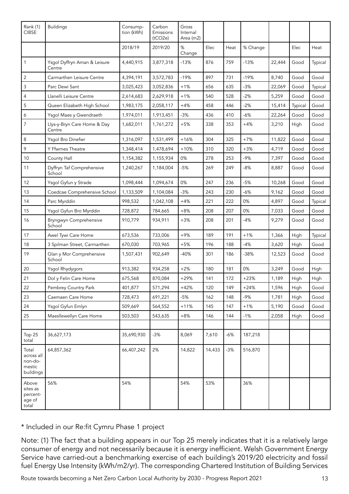| Rank (1)<br><b>CIBSE</b>                              | <b>Buildings</b>                       | Consump-<br>tion (kWh) | Carbon<br>Emissions<br>(tCO2e) | Gross<br>Internal<br>Area (m2) |        |       |          |        |         |         |
|-------------------------------------------------------|----------------------------------------|------------------------|--------------------------------|--------------------------------|--------|-------|----------|--------|---------|---------|
|                                                       |                                        | 2018/19                | 2019/20                        | %<br>Change                    | Elec   | Heat  | % Change |        | Elec    | Heat    |
| $\mathbf{1}$                                          | Ysgol Dyffryn Aman & Leisure<br>Centre | 4,440,915              | 3,877,318                      | $-13%$                         | 876    | 759   | $-13%$   | 22,444 | Good    | Typical |
| $\sqrt{2}$                                            | Carmarthen Leisure Centre              | 4,394,191              | 3,572,783                      | $-19%$                         | 897    | 731   | $-19%$   | 8,740  | Good    | Good    |
| $\mathsf 3$                                           | Parc Dewi Sant                         | 3,025,423              | 3,052,836                      | $+1%$                          | 656    | 635   | $-3%$    | 22,069 | Good    | Typical |
| 4                                                     | Llanelli Leisure Centre                | 2,614,683              | 2,629,918                      | $+1%$                          | 540    | 528   | $-2%$    | 5,259  | Good    | Good    |
| 5                                                     | Queen Elizabeth High School            | 1,983,175              | 2,058,117                      | $+4%$                          | 458    | 446   | $-2%$    | 15,414 | Typical | Good    |
| 6                                                     | Ysgol Maes y Gwendraeth                | 1,974,011              | 1,913,451                      | $-3%$                          | 436    | 410   | -6%      | 22,264 | Good    | Good    |
| $\overline{7}$                                        | Llys-y-Bryn Care Home & Day<br>Centre  | 1,682,011              | 1,761,272                      | $+5%$                          | 338    | 353   | $+4%$    | 3,210  | High    | Good    |
| 8                                                     | Ysgol Bro Dinefwr                      | 1,316,097              | 1,531,499                      | $+16%$                         | 304    | 325   | $+7%$    | 11,822 | Good    | Good    |
| 9                                                     | Y Ffwrnes Theatre                      | 1,348,414              | 1,478,694                      | $+10%$                         | 310    | 320   | $+3%$    | 4,719  | Good    | Good    |
| 10                                                    | County Hall                            | 1,154,382              | 1,155,934                      | 0%                             | 278    | 253   | $-9%$    | 7,397  | Good    | Good    |
| 11                                                    | Dyffryn Taf Comprehensive<br>School    | 1,240,267              | 1,184,004                      | $-5%$                          | 269    | 249   | $-8%$    | 8,887  | Good    | Good    |
| 12                                                    | Ysgol Gyfun y Strade                   | 1,098,444              | 1,094,674                      | 0%                             | 247    | 236   | $-5%$    | 10,268 | Good    | Good    |
| 13                                                    | Coedcae Comprehensive School           | 1,133,509              | 1,104,084                      | $-3%$                          | 243    | 230   | $-6%$    | 9,162  | Good    | Good    |
| 14                                                    | Parc Myrddin                           | 998,532                | 1,042,108                      | $+4%$                          | 221    | 222   | 0%       | 4,897  | Good    | Typical |
| 15                                                    | Ysgol Gyfun Bro Myrddin                | 728,872                | 784,665                        | $+8%$                          | 208    | 207   | 0%       | 7,033  | Good    | Good    |
| 16                                                    | Bryngwyn Comprehensive<br>School       | 910,779                | 934,911                        | $+3%$                          | 208    | 201   | $-4%$    | 9,279  | Good    | Good    |
| 17                                                    | Awel Tywi Care Home                    | 673,536                | 733,006                        | $+9%$                          | 189    | 191   | $+1%$    | 1,366  | High    | Typical |
| 18                                                    | 3 Spilman Street, Carmarthen           | 670,030                | 703,965                        | $+5%$                          | 196    | 188   | $-4%$    | 3,620  | High    | Good    |
| 19                                                    | Glan y Mor Comprehensive<br>School     | 1,507,431              | 902.649                        | $-40%$                         | 301    | 186   | $-38%$   | 12,523 | Good    | Good    |
| 20                                                    | Ysgol Rhydygors                        | 913,382                | 934,258                        | $+2%$                          | 180    | 181   | 0%       | 3,249  | Good    | High    |
| 21                                                    | Dol y Felin Care Home                  | 675,568                | 870,084                        | $+29%$                         | 141    | 172   | $+23%$   | 1,189  | High    | High    |
| 22                                                    | Pembrey Country Park                   | 401,877                | 571,294                        | $+42%$                         | 120    | 149   | $+24%$   | 1,596  | High    | Good    |
| 23                                                    | Caemaen Care Home                      | 728,473                | 691,221                        | $-5%$                          | 162    | 148   | $-9%$    | 1,781  | High    | Good    |
| 24                                                    | Ysgol Gyfun Emlyn                      | 509,669                | 564,552                        | $+11%$                         | 145    | 147   | $+1%$    | 5,190  | Good    | Good    |
| 25                                                    | Maesllewellyn Care Home                | 503,503                | 543,635                        | $+8%$                          | 146    | 144   | $-1%$    | 2,058  | High    | Good    |
|                                                       |                                        |                        |                                |                                |        |       |          |        |         |         |
| Top 25<br>total                                       | 36,627,173                             | 35,690,930             | $-3%$                          | 8,069                          | 7,610  | $-6%$ | 187,218  |        |         |         |
| Total<br>across all<br>non-do-<br>mestic<br>buildings | 64,857,362                             | 66,407,242             | 2%                             | 14,822                         | 14,433 | $-3%$ | 516,870  |        |         |         |
| Above<br>sites as<br>percent-<br>age of<br>total      | 56%                                    | 54%                    |                                | 54%                            | 53%    |       | 36%      |        |         |         |

\* Included in our Re:fit Cymru Phase 1 project

Note: (1) The fact that a building appears in our Top 25 merely indicates that it is a relatively large consumer of energy and not necessarily because it is energy inefficient. Welsh Government Energy Service have carried-out a benchmarking exercise of each building's 2019/20 electricity and fossil fuel Energy Use Intensity (kWh/m2/yr). The corresponding Chartered Institution of Building Services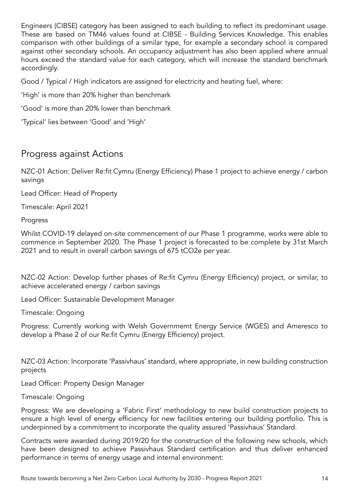Engineers (CIBSE) category has been assigned to each building to reflect its predominant usage. These are based on TM46 values found at CIBSE - Building Services Knowledge. This enables comparison with other buildings of a similar type, for example a secondary school is compared against other secondary schools. An occupancy adjustment has also been applied where annual hours exceed the standard value for each category, which will increase the standard benchmark accordingly.

Good / Typical / High indicators are assigned for electricity and heating fuel, where:

'High' is more than 20% higher than benchmark

'Good' is more than 20% lower than benchmark

'Typical' lies between 'Good' and 'High'

# Progress against Actions

NZC-01 Action: Deliver Re:fit Cymru (Energy Efficiency) Phase 1 project to achieve energy / carbon savings

Lead Officer: Head of Property

Timescale: April 2021

#### Progress

Whilst COVID-19 delayed on-site commencement of our Phase 1 programme, works were able to commence in September 2020. The Phase 1 project is forecasted to be complete by 31st March 2021 and to result in overall carbon savings of 675 tCO2e per year.

NZC-02 Action: Develop further phases of Re:fit Cymru (Energy Efficiency) project, or similar, to achieve accelerated energy / carbon savings

Lead Officer: Sustainable Development Manager

Timescale: Ongoing

Progress: Currently working with Welsh Governmemt Energy Service (WGES) and Ameresco to develop a Phase 2 of our Re:fit Cymru (Energy Efficiency) project.

NZC-03 Action: Incorporate 'Passivhaus' standard, where appropriate, in new building construction projects

Lead Officer: Property Design Manager

Timescale: Ongoing

Progress: We are developing a 'Fabric First' methodology to new build construction projects to ensure a high level of energy efficiency for new facilities entering our building portfolio. This is underpinned by a commitment to incorporate the quality assured 'Passivhaus' Standard.

Contracts were awarded during 2019/20 for the construction of the following new schools, which have been designed to achieve Passivhaus Standard certification and thus deliver enhanced performance in terms of energy usage and internal environment: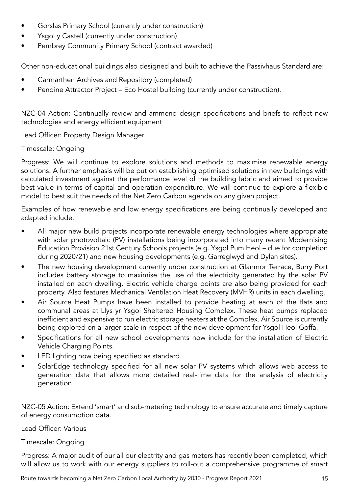- Gorslas Primary School (currently under construction)
- Ysgol y Castell (currently under construction)
- Pembrey Community Primary School (contract awarded)

Other non-educational buildings also designed and built to achieve the Passivhaus Standard are:

- Carmarthen Archives and Repository (completed)
- Pendine Attractor Project Eco Hostel building (currently under construction).

NZC-04 Action: Continually review and ammend design specifications and briefs to reflect new technologies and energy efficient equipment

Lead Officer: Property Design Manager

### Timescale: Ongoing

Progress: We will continue to explore solutions and methods to maximise renewable energy solutions. A further emphasis will be put on establishing optimised solutions in new buildings with calculated investment against the performance level of the building fabric and aimed to provide best value in terms of capital and operation expenditure. We will continue to explore a flexible model to best suit the needs of the Net Zero Carbon agenda on any given project.

Examples of how renewable and low energy specifications are being continually developed and adapted include:

- All major new build projects incorporate renewable energy technologies where appropriate with solar photovoltaic (PV) installations being incorporated into many recent Modernising Education Provision 21st Century Schools projects (e.g. Ysgol Pum Heol – due for completion during 2020/21) and new housing developments (e.g. Garreglwyd and Dylan sites).
- The new housing development currently under construction at Glanmor Terrace, Burry Port includes battery storage to maximise the use of the electricity generated by the solar PV installed on each dwelling. Electric vehicle charge points are also being provided for each property. Also features Mechanical Ventilation Heat Recovery (MVHR) units in each dwelling.
- Air Source Heat Pumps have been installed to provide heating at each of the flats and communal areas at Llys yr Ysgol Sheltered Housing Complex. These heat pumps replaced inefficient and expensive to run electric storage heaters at the Complex. Air Source is currently being explored on a larger scale in respect of the new development for Ysgol Heol Goffa.
- Specifications for all new school developments now include for the installation of Electric Vehicle Charging Points.
- LED lighting now being specified as standard.
- SolarEdge technology specified for all new solar PV systems which allows web access to generation data that allows more detailed real-time data for the analysis of electricity generation.

NZC-05 Action: Extend 'smart' and sub-metering technology to ensure accurate and timely capture of energy consumption data.

### Lead Officer: Various

#### Timescale: Ongoing

Progress: A major audit of our all our electrity and gas meters has recently been completed, which will allow us to work with our energy suppliers to roll-out a comprehensive programme of smart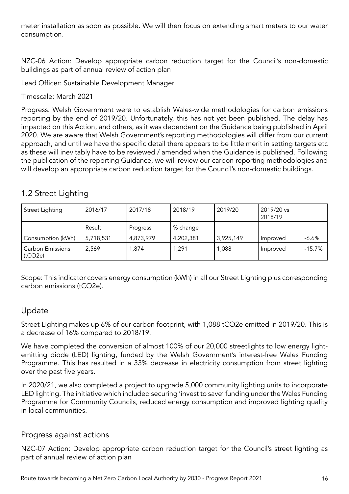meter installation as soon as possible. We will then focus on extending smart meters to our water consumption.

NZC-06 Action: Develop appropriate carbon reduction target for the Council's non-domestic buildings as part of annual review of action plan

Lead Officer: Sustainable Development Manager

Timescale: March 2021

Progress: Welsh Government were to establish Wales-wide methodologies for carbon emissions reporting by the end of 2019/20. Unfortunately, this has not yet been published. The delay has impacted on this Action, and others, as it was dependent on the Guidance being published in April 2020. We are aware that Welsh Government's reporting methodologies will differ from our current approach, and until we have the specific detail there appears to be little merit in setting targets etc as these will inevitably have to be reviewed / amended when the Guidance is published. Following the publication of the reporting Guidance, we will review our carbon reporting methodologies and will develop an appropriate carbon reduction target for the Council's non-domestic buildings.

# 1.2 Street Lighting

| Street Lighting                    | 2016/17   | 2017/18   | 2018/19   | 2019/20   | 2019/20 vs<br>2018/19 |          |
|------------------------------------|-----------|-----------|-----------|-----------|-----------------------|----------|
|                                    | Result    | Progress  | % change  |           |                       |          |
| Consumption (kWh)                  | 5,718,531 | 4,873,979 | 4,202,381 | 3,925,149 | Improved              | $-6.6%$  |
| <b>Carbon Emissions</b><br>(tCO2e) | 2,569     | 874, ا    | 1,291     | 1,088     | Improved              | $-15.7%$ |

Scope: This indicator covers energy consumption (kWh) in all our Street Lighting plus corresponding carbon emissions (tCO2e).

## Update

Street Lighting makes up 6% of our carbon footprint, with 1,088 tCO2e emitted in 2019/20. This is a decrease of 16% compared to 2018/19.

We have completed the conversion of almost 100% of our 20,000 streetlights to low energy lightemitting diode (LED) lighting, funded by the Welsh Government's interest-free Wales Funding Programme. This has resulted in a 33% decrease in electricity consumption from street lighting over the past five years.

In 2020/21, we also completed a project to upgrade 5,000 community lighting units to incorporate LED lighting. The initiative which included securing 'invest to save' funding under the Wales Funding Programme for Community Councils, reduced energy consumption and improved lighting quality in local communities.

## Progress against actions

NZC-07 Action: Develop appropriate carbon reduction target for the Council's street lighting as part of annual review of action plan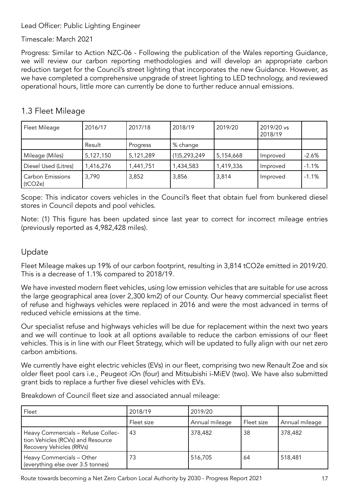### Lead Officer: Public Lighting Engineer

### Timescale: March 2021

Progress: Similar to Action NZC-06 - Following the publication of the Wales reporting Guidance, we will review our carbon reporting methodologies and will develop an appropriate carbon reduction target for the Council's street lighting that incorporates the new Guidance. However, as we have completed a comprehensive unpgrade of street lighting to LED technology, and reviewed operational hours, little more can currently be done to further reduce annual emissions.

# 1.3 Fleet Mileage

| Fleet Mileage                      | 2016/17   | 2017/18   | 2018/19      | 2019/20   | 2019/20 vs<br>2018/19 |         |
|------------------------------------|-----------|-----------|--------------|-----------|-----------------------|---------|
|                                    | Result    | Progress  | % change     |           |                       |         |
| Mileage (Miles)                    | 5,127,150 | 5,121,289 | (1)5,293,249 | 5,154,668 | Improved              | $-2.6%$ |
| Diesel Used (Litres)               | 1,416,276 | 1,441,751 | 1,434,583    | 1,419,336 | Improved              | $-1.1%$ |
| <b>Carbon Emissions</b><br>(tCO2e) | 3,790     | 3,852     | 3,856        | 3,814     | Improved              | $-1.1%$ |

Scope: This indicator covers vehicles in the Council's fleet that obtain fuel from bunkered diesel stores in Council depots and pool vehicles.

Note: (1) This figure has been updated since last year to correct for incorrect mileage entries (previously reported as 4,982,428 miles).

## Update

Fleet Mileage makes up 19% of our carbon footprint, resulting in 3,814 tCO2e emitted in 2019/20. This is a decrease of 1.1% compared to 2018/19.

We have invested modern fleet vehicles, using low emission vehicles that are suitable for use across the large geographical area (over 2,300 km2) of our County. Our heavy commercial specialist fleet of refuse and highways vehicles were replaced in 2016 and were the most advanced in terms of reduced vehicle emissions at the time.

Our specialist refuse and highways vehicles will be due for replacement within the next two years and we will continue to look at all options available to reduce the carbon emissions of our fleet vehicles. This is in line with our Fleet Strategy, which will be updated to fully align with our net zero carbon ambitions.

We currently have eight electric vehicles (EVs) in our fleet, comprising two new Renault Zoe and six older fleet pool cars i.e., Peugeot iOn (four) and Mitsubishi i-MiEV (two). We have also submitted grant bids to replace a further five diesel vehicles with EVs.

Breakdown of Council fleet size and associated annual mileage:

| Fleet                                                                                               | 2018/19    | 2019/20        |            |                |
|-----------------------------------------------------------------------------------------------------|------------|----------------|------------|----------------|
|                                                                                                     | Fleet size | Annual mileage | Fleet size | Annual mileage |
| Heavy Commercials - Refuse Collec-<br>tion Vehicles (RCVs) and Resource<br>Recovery Vehicles (RRVs) | 43         | 378,482        | 38         | 378,482        |
| Heavy Commercials - Other<br>(everything else over 3.5 tonnes)                                      | 73         | 516,705        | 64         | 518,481        |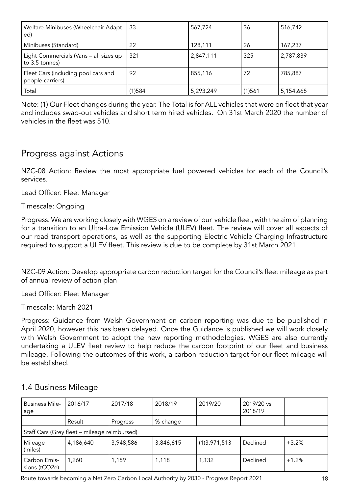| Welfare Minibuses (Wheelchair Adapt-<br>ed)              | <b>133</b> | 567,724   | 36     | 516,742   |
|----------------------------------------------------------|------------|-----------|--------|-----------|
| Minibuses (Standard)                                     | 22         | 128,111   | 26     | 167,237   |
| Light Commercials (Vans - all sizes up<br>to 3.5 tonnes) | 321        | 2,847,111 | 325    | 2,787,839 |
| Fleet Cars (including pool cars and<br>people carriers)  | 92         | 855,116   | 72     | 785,887   |
| Total                                                    | 1)584      | 5,293,249 | (1)561 | 5,154,668 |

Note: (1) Our Fleet changes during the year. The Total is for ALL vehicles that were on fleet that year and includes swap-out vehicles and short term hired vehicles. On 31st March 2020 the number of vehicles in the fleet was 510.

# Progress against Actions

NZC-08 Action: Review the most appropriate fuel powered vehicles for each of the Council's services.

Lead Officer: Fleet Manager

Timescale: Ongoing

Progress: We are working closely with WGES on a review of our vehicle fleet, with the aim of planning for a transition to an Ultra-Low Emission Vehicle (ULEV) fleet. The review will cover all aspects of our road transport operations, as well as the supporting Electric Vehicle Charging Infrastructure required to support a ULEV fleet. This review is due to be complete by 31st March 2021.

NZC-09 Action: Develop appropriate carbon reduction target for the Council's fleet mileage as part of annual review of action plan

Lead Officer: Fleet Manager

Timescale: March 2021

Progress: Guidance from Welsh Government on carbon reporting was due to be published in April 2020, however this has been delayed. Once the Guidance is published we will work closely with Welsh Government to adopt the new reporting methodologies. WGES are also currently undertaking a ULEV fleet review to help reduce the carbon footprint of our fleet and business mileage. Following the outcomes of this work, a carbon reduction target for our fleet mileage will be established.

| <b>Business Mile-</b><br>age  | 2016/17                                      | 2017/18   | 2018/19   | 2019/20      | 2019/20 vs<br>2018/19 |         |
|-------------------------------|----------------------------------------------|-----------|-----------|--------------|-----------------------|---------|
|                               | Result                                       | Progress  | % change  |              |                       |         |
|                               | Staff Cars (Grey fleet – mileage reimbursed) |           |           |              |                       |         |
| Mileage<br>(miles)            | 4,186,640                                    | 3,948,586 | 3,846,615 | (1)3,971,513 | Declined              | $+3.2%$ |
| Carbon Emis-<br>sions (tCO2e) | 1,260                                        | 1,159     | 1,118     | 1,132        | Declined              | $+1.2%$ |

## 1.4 Business Mileage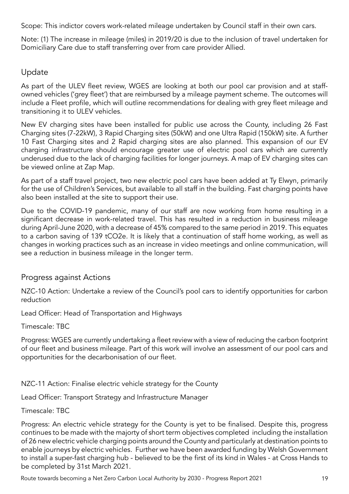Scope: This indictor covers work-related mileage undertaken by Council staff in their own cars.

Note: (1) The increase in mileage (miles) in 2019/20 is due to the inclusion of travel undertaken for Domiciliary Care due to staff transferring over from care provider Allied.

# Update

As part of the ULEV fleet review, WGES are looking at both our pool car provision and at staffowned vehicles ('grey fleet') that are reimbursed by a mileage payment scheme. The outcomes will include a Fleet profile, which will outline recommendations for dealing with grey fleet mileage and transitioning it to ULEV vehicles.

New EV charging sites have been installed for public use across the County, including 26 Fast Charging sites (7-22kW), 3 Rapid Charging sites (50kW) and one Ultra Rapid (150kW) site. A further 10 Fast Charging sites and 2 Rapid charging sites are also planned. This expansion of our EV charging infrastructure should encourage greater use of electric pool cars which are currently underused due to the lack of charging facilities for longer journeys. A map of EV charging sites can be viewed online at Zap Map.

As part of a staff travel project, two new electric pool cars have been added at Ty Elwyn, primarily for the use of Children's Services, but available to all staff in the building. Fast charging points have also been installed at the site to support their use.

Due to the COVID-19 pandemic, many of our staff are now working from home resulting in a significant decrease in work-related travel. This has resulted in a reduction in business mileage during April-June 2020, with a decrease of 45% compared to the same period in 2019. This equates to a carbon saving of 139 tCO2e. It is likely that a continuation of staff home working, as well as changes in working practices such as an increase in video meetings and online communication, will see a reduction in business mileage in the longer term.

## Progress against Actions

NZC-10 Action: Undertake a review of the Council's pool cars to identify opportunities for carbon reduction

Lead Officer: Head of Transportation and Highways

Timescale: TBC

Progress: WGES are currently undertaking a fleet review with a view of reducing the carbon footprint of our fleet and business mileage. Part of this work will involve an assessment of our pool cars and opportunities for the decarbonisation of our fleet.

NZC-11 Action: Finalise electric vehicle strategy for the County

Lead Officer: Transport Strategy and Infrastructure Manager

Timescale: TBC

Progress: An electric vehicle strategy for the County is yet to be finalised. Despite this, progress continues to be made with the majorty of short term objectives completed including the installation of 26 new electric vehicle charging points around the County and particularly at destination points to enable journeys by electric vehicles. Further we have been awarded funding by Welsh Government to install a super-fast charging hub - believed to be the first of its kind in Wales - at Cross Hands to be completed by 31st March 2021.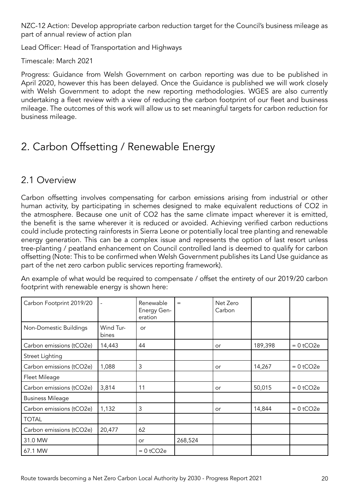NZC-12 Action: Develop appropriate carbon reduction target for the Council's business mileage as part of annual review of action plan

Lead Officer: Head of Transportation and Highways

Timescale: March 2021

Progress: Guidance from Welsh Government on carbon reporting was due to be published in April 2020, however this has been delayed. Once the Guidance is published we will work closely with Welsh Government to adopt the new reporting methodologies. WGES are also currently undertaking a fleet review with a view of reducing the carbon footprint of our fleet and business mileage. The outcomes of this work will allow us to set meaningful targets for carbon reduction for business mileage.

# 2. Carbon Offsetting / Renewable Energy

# 2.1 Overview

Carbon offsetting involves compensating for carbon emissions arising from industrial or other human activity, by participating in schemes designed to make equivalent reductions of CO2 in the atmosphere. Because one unit of CO2 has the same climate impact wherever it is emitted, the benefit is the same wherever it is reduced or avoided. Achieving verified carbon reductions could include protecting rainforests in Sierra Leone or potentially local tree planting and renewable energy generation. This can be a complex issue and represents the option of last resort unless tree-planting / peatland enhancement on Council controlled land is deemed to qualify for carbon offsetting (Note: This to be confirmed when Welsh Government publishes its Land Use guidance as part of the net zero carbon public services reporting framework).

An example of what would be required to compensate / offset the entirety of our 2019/20 carbon footprint with renewable energy is shown here:

| Carbon Footprint 2019/20 |                    | Renewable<br>Energy Gen-<br>eration | $=$     | Net Zero<br>Carbon |         |             |
|--------------------------|--------------------|-------------------------------------|---------|--------------------|---------|-------------|
| Non-Domestic Buildings   | Wind Tur-<br>bines | or                                  |         |                    |         |             |
| Carbon emissions (tCO2e) | 14,443             | 44                                  |         | or                 | 189,398 | $= 0$ tCO2e |
| Street Lighting          |                    |                                     |         |                    |         |             |
| Carbon emissions (tCO2e) | 1,088              | 3                                   |         | or                 | 14,267  | $= 0$ tCO2e |
| Fleet Mileage            |                    |                                     |         |                    |         |             |
| Carbon emissions (tCO2e) | 3,814              | 11                                  |         | or                 | 50,015  | $= 0$ tCO2e |
| <b>Business Mileage</b>  |                    |                                     |         |                    |         |             |
| Carbon emissions (tCO2e) | 1,132              | 3                                   |         | or                 | 14,844  | $= 0$ tCO2e |
| <b>TOTAL</b>             |                    |                                     |         |                    |         |             |
| Carbon emissions (tCO2e) | 20,477             | 62                                  |         |                    |         |             |
| 31.0 MW                  |                    | or                                  | 268,524 |                    |         |             |
| 67.1 MW                  |                    | $= 0$ tCO2e                         |         |                    |         |             |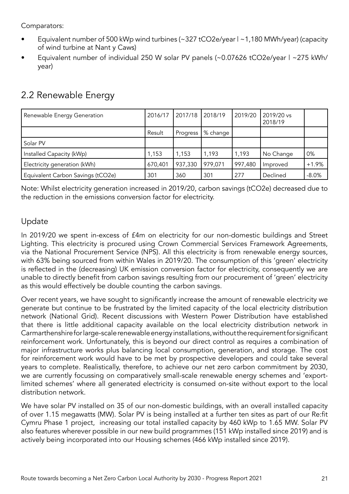Comparators:

- Equivalent number of 500 kWp wind turbines (~327 tCO2e/year | ~1,180 MWh/year) (capacity of wind turbine at Nant y Caws)
- Equivalent number of individual 250 W solar PV panels (~0.07626 tCO2e/year | ~275 kWh/ year)

| Renewable Energy Generation       | 2016/17 | 2017/18  | 2018/19  | 2019/20 | 2019/20 vs<br>2018/19 |         |
|-----------------------------------|---------|----------|----------|---------|-----------------------|---------|
|                                   | Result  | Progress | % change |         |                       |         |
| Solar PV                          |         |          |          |         |                       |         |
| Installed Capacity (kWp)          | 1,153   | ,153     | 1,193    | 1,193   | No Change             | 0%      |
| Electricity generation (kWh)      | 670,401 | 937,330  | 979,071  | 997,480 | Improved              | $+1.9%$ |
| Equivalent Carbon Savings (tCO2e) | 301     | 360      | 301      | 277     | Declined              | $-8.0%$ |

# 2.2 Renewable Energy

Note: Whilst electricity generation increased in 2019/20, carbon savings (tCO2e) decreased due to the reduction in the emissions conversion factor for electricity.

# Update

In 2019/20 we spent in-excess of £4m on electricity for our non-domestic buildings and Street Lighting. This electricity is procured using Crown Commercial Services Framework Agreements, via the National Procurement Service (NPS). All this electricity is from renewable energy sources, with 63% being sourced from within Wales in 2019/20. The consumption of this 'green' electricity is reflected in the (decreasing) UK emission conversion factor for electricity, consequently we are unable to directly benefit from carbon savings resulting from our procurement of 'green' electricity as this would effectively be double counting the carbon savings.

Over recent years, we have sought to significantly increase the amount of renewable electricity we generate but continue to be frustrated by the limited capacity of the local electricity distribution network (National Grid). Recent discussions with Western Power Distribution have established that there is little additional capacity available on the local electricity distribution network in Carmarthenshire for large-scale renewable energy installations, without the requirement for significant reinforcement work. Unfortunately, this is beyond our direct control as requires a combination of major infrastructure works plus balancing local consumption, generation, and storage. The cost for reinforcement work would have to be met by prospective developers and could take several years to complete. Realistically, therefore, to achieve our net zero carbon commitment by 2030, we are currently focussing on comparatively small-scale renewable energy schemes and 'exportlimited schemes' where all generated electricity is consumed on-site without export to the local distribution network.

We have solar PV installed on 35 of our non-domestic buildings, with an overall installed capacity of over 1.15 megawatts (MW). Solar PV is being installed at a further ten sites as part of our Re:fit Cymru Phase 1 project, increasing our total installed capacity by 460 kWp to 1.65 MW. Solar PV also features wherever possible in our new build programmes (151 kWp installed since 2019) and is actively being incorporated into our Housing schemes (466 kWp installed since 2019).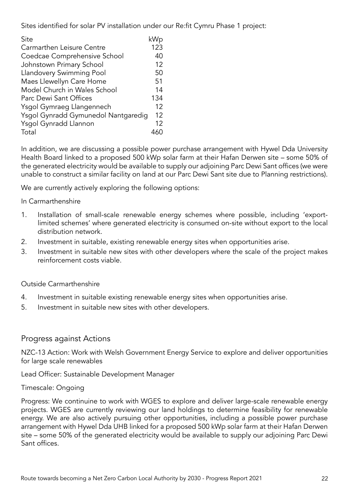Sites identified for solar PV installation under our Re:fit Cymru Phase 1 project:

| Site                                | kWp |
|-------------------------------------|-----|
| Carmarthen Leisure Centre           | 123 |
| Coedcae Comprehensive School        | 40  |
| Johnstown Primary School            | 12  |
| Llandovery Swimming Pool            | 50  |
| Maes Llewellyn Care Home            | 51  |
| Model Church in Wales School        | 14  |
| Parc Dewi Sant Offices              | 134 |
| Ysgol Gymraeg Llangennech           | 12  |
| Ysgol Gynradd Gymunedol Nantgaredig | 12  |
| Ysgol Gynradd Llannon               | 12  |
| Total                               |     |

In addition, we are discussing a possible power purchase arrangement with Hywel Dda University Health Board linked to a proposed 500 kWp solar farm at their Hafan Derwen site – some 50% of the generated electricity would be available to supply our adjoining Parc Dewi Sant offices (we were unable to construct a similar facility on land at our Parc Dewi Sant site due to Planning restrictions).

We are currently actively exploring the following options:

#### In Carmarthenshire

- 1. Installation of small-scale renewable energy schemes where possible, including 'exportlimited schemes' where generated electricity is consumed on-site without export to the local distribution network.
- 2. Investment in suitable, existing renewable energy sites when opportunities arise.
- 3. Investment in suitable new sites with other developers where the scale of the project makes reinforcement costs viable.

#### Outside Carmarthenshire

- 4. Investment in suitable existing renewable energy sites when opportunities arise.
- 5. Investment in suitable new sites with other developers.

### Progress against Actions

NZC-13 Action: Work with Welsh Government Energy Service to explore and deliver opportunities for large scale renewables

Lead Officer: Sustainable Development Manager

#### Timescale: Ongoing

Progress: We continuine to work with WGES to explore and deliver large-scale renewable energy projects. WGES are currently reviewing our land holdings to determine feasibility for renewable energy. We are also actively pursuing other opportunities, including a possible power purchase arrangement with Hywel Dda UHB linked for a proposed 500 kWp solar farm at their Hafan Derwen site – some 50% of the generated electricity would be available to supply our adjoining Parc Dewi Sant offices.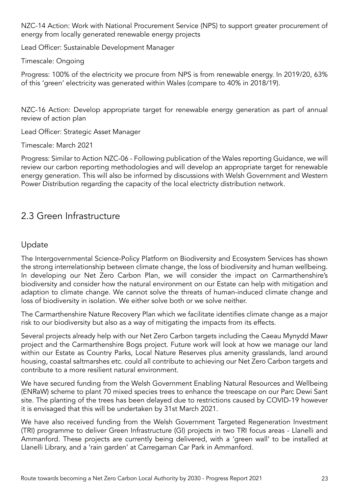NZC-14 Action: Work with National Procurement Service (NPS) to support greater procurement of energy from locally generated renewable energy projects

Lead Officer: Sustainable Development Manager

Timescale: Ongoing

Progress: 100% of the electricity we procure from NPS is from renewable energy. In 2019/20, 63% of this 'green' electricity was generated within Wales (compare to 40% in 2018/19).

NZC-16 Action: Develop appropriate target for renewable energy generation as part of annual review of action plan

Lead Officer: Strategic Asset Manager

Timescale: March 2021

Progress: Similar to Action NZC-06 - Following publication of the Wales reporting Guidance, we will review our carbon reporting methodologies and will develop an appropriate target for renewable energy generation. This will also be informed by discussions with Welsh Government and Western Power Distribution regarding the capacity of the local electricty distribution network.

# 2.3 Green Infrastructure

# Update

The Intergovernmental Science-Policy Platform on Biodiversity and Ecosystem Services has shown the strong interrelationship between climate change, the loss of biodiversity and human wellbeing. In developing our Net Zero Carbon Plan, we will consider the impact on Carmarthenshire's biodiversity and consider how the natural environment on our Estate can help with mitigation and adaption to climate change. We cannot solve the threats of human-induced climate change and loss of biodiversity in isolation. We either solve both or we solve neither.

The Carmarthenshire Nature Recovery Plan which we facilitate identifies climate change as a major risk to our biodiversity but also as a way of mitigating the impacts from its effects.

Several projects already help with our Net Zero Carbon targets including the Caeau Mynydd Mawr project and the Carmarthenshire Bogs project. Future work will look at how we manage our land within our Estate as Country Parks, Local Nature Reserves plus amenity grasslands, land around housing, coastal saltmarshes etc. could all contribute to achieving our Net Zero Carbon targets and contribute to a more resilient natural environment.

We have secured funding from the Welsh Government Enabling Natural Resources and Wellbeing (ENRaW) scheme to plant 70 mixed species trees to enhance the treescape on our Parc Dewi Sant site. The planting of the trees has been delayed due to restrictions caused by COVID-19 however it is envisaged that this will be undertaken by 31st March 2021.

We have also received funding from the Welsh Government Targeted Regeneration Investment (TRI) programme to deliver Green Infrastructure (GI) projects in two TRI focus areas - Llanelli and Ammanford. These projects are currently being delivered, with a 'green wall' to be installed at Llanelli Library, and a 'rain garden' at Carregaman Car Park in Ammanford.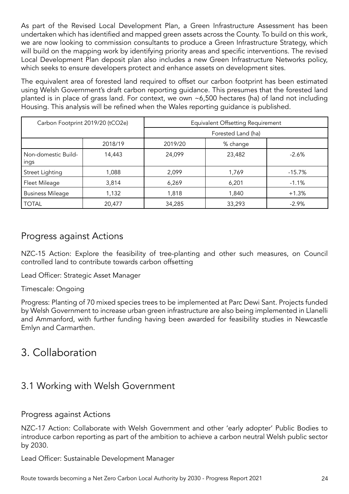As part of the Revised Local Development Plan, a Green Infrastructure Assessment has been undertaken which has identified and mapped green assets across the County. To build on this work, we are now looking to commission consultants to produce a Green Infrastructure Strategy, which will build on the mapping work by identifying priority areas and specific interventions. The revised Local Development Plan deposit plan also includes a new Green Infrastructure Networks policy, which seeks to ensure developers protect and enhance assets on development sites.

The equivalent area of forested land required to offset our carbon footprint has been estimated using Welsh Government's draft carbon reporting guidance. This presumes that the forested land planted is in place of grass land. For context, we own ~6,500 hectares (ha) of land not including Housing. This analysis will be refined when the Wales reporting guidance is published.

| Carbon Footprint 2019/20 (tCO2e) |         | Equivalent Offsetting Requirement |          |           |  |
|----------------------------------|---------|-----------------------------------|----------|-----------|--|
|                                  |         | Forested Land (ha)                |          |           |  |
|                                  | 2018/19 | 2019/20                           | % change |           |  |
| Non-domestic Build-<br>ings      | 14,443  | 24,099                            | 23,482   | $-2.6%$   |  |
| Street Lighting                  | 1,088   | 2,099                             | 1,769    | $-15.7\%$ |  |
| Fleet Mileage                    | 3,814   | 6,269                             | 6,201    | $-1.1%$   |  |
| <b>Business Mileage</b>          | 1,132   | 1,818                             | 1,840    | $+1.3%$   |  |
| <b>TOTAL</b>                     | 20,477  | 34,285                            | 33,293   | $-2.9%$   |  |

# Progress against Actions

NZC-15 Action: Explore the feasibility of tree-planting and other such measures, on Council controlled land to contribute towards carbon offsetting

Lead Officer: Strategic Asset Manager

Timescale: Ongoing

Progress: Planting of 70 mixed species trees to be implemented at Parc Dewi Sant. Projects funded by Welsh Government to increase urban green infrastructure are also being implemented in Llanelli and Ammanford, with further funding having been awarded for feasibility studies in Newcastle Emlyn and Carmarthen.

# 3. Collaboration

# 3.1 Working with Welsh Government

### Progress against Actions

NZC-17 Action: Collaborate with Welsh Government and other 'early adopter' Public Bodies to introduce carbon reporting as part of the ambition to achieve a carbon neutral Welsh public sector by 2030.

Lead Officer: Sustainable Development Manager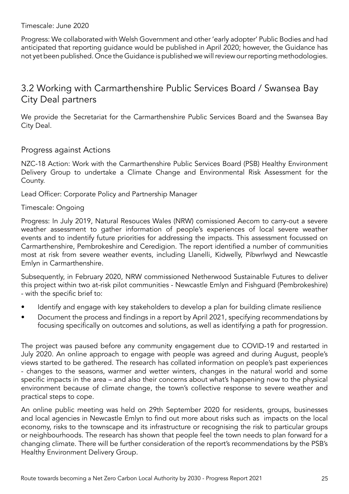Timescale: June 2020

Progress: We collaborated with Welsh Government and other 'early adopter' Public Bodies and had anticipated that reporting guidance would be published in April 2020; however, the Guidance has not yet been published. Once the Guidance is published we will review our reporting methodologies.

# 3.2 Working with Carmarthenshire Public Services Board / Swansea Bay City Deal partners

We provide the Secretariat for the Carmarthenshire Public Services Board and the Swansea Bay City Deal.

### Progress against Actions

NZC-18 Action: Work with the Carmarthenshire Public Services Board (PSB) Healthy Environment Delivery Group to undertake a Climate Change and Environmental Risk Assessment for the County.

Lead Officer: Corporate Policy and Partnership Manager

#### Timescale: Ongoing

Progress: In July 2019, Natural Resouces Wales (NRW) comissioned Aecom to carry-out a severe weather assessment to gather information of people's experiences of local severe weather events and to indentify future priorities for addressing the impacts. This assessment focussed on Carmarthenshire, Pembrokeshire and Ceredigion. The report identified a number of communities most at risk from severe weather events, including Llanelli, Kidwelly, Pibwrlwyd and Newcastle Emlyn in Carmarthenshire.

Subsequently, in February 2020, NRW commissioned Netherwood Sustainable Futures to deliver this project within two at-risk pilot communities - Newcastle Emlyn and Fishguard (Pembrokeshire) - with the specific brief to:

- Identify and engage with key stakeholders to develop a plan for building climate resilience
- Document the process and findings in a report by April 2021, specifying recommendations by focusing specifically on outcomes and solutions, as well as identifying a path for progression.

The project was paused before any community engagement due to COVID-19 and restarted in July 2020. An online approach to engage with people was agreed and during August, people's views started to be gathered. The research has collated information on people's past experiences - changes to the seasons, warmer and wetter winters, changes in the natural world and some specific impacts in the area – and also their concerns about what's happening now to the physical environment because of climate change, the town's collective response to severe weather and practical steps to cope.

An online public meeting was held on 29th September 2020 for residents, groups, businesses and local agencies in Newcastle Emlyn to find out more about risks such as impacts on the local economy, risks to the townscape and its infrastructure or recognising the risk to particular groups or neighbourhoods. The research has shown that people feel the town needs to plan forward for a changing climate. There will be further consideration of the report's recommendations by the PSB's Healthy Environment Delivery Group.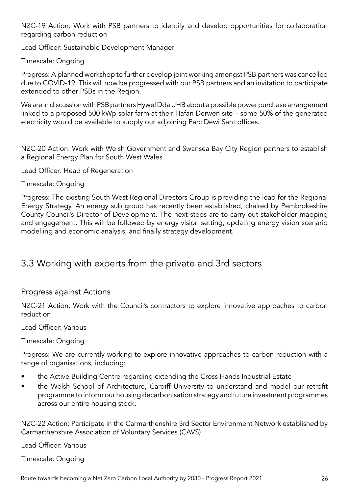NZC-19 Action: Work with PSB partners to identify and develop opportunities for collaboration regarding carbon reduction

Lead Officer: Sustainable Development Manager

Timescale: Ongoing

Progress: A planned workshop to further develop joint working amongst PSB partners was cancelled due to COVID-19. This will now be progressed with our PSB partners and an invitation to participate extended to other PSBs in the Region.

We are in discussion with PSB partners Hywel Dda UHB about a possible power purchase arrangement linked to a proposed 500 kWp solar farm at their Hafan Derwen site – some 50% of the generated electricity would be available to supply our adjoining Parc Dewi Sant offices.

NZC-20 Action: Work with Welsh Government and Swansea Bay City Region partners to establish a Regional Energy Plan for South West Wales

Lead Officer: Head of Regeneration

Timescale: Ongoing

Progress: The existing South West Regional Directors Group is providing the lead for the Regional Energy Strategy. An energy sub group has recently been established, chaired by Pembrokeshire County Council's Director of Development. The next steps are to carry-out stakeholder mapping and engagement. This will be followed by energy vision setting, updating energy vision scenario modelling and economic analysis, and finally strategy development.

# 3.3 Working with experts from the private and 3rd sectors

### Progress against Actions

NZC-21 Action: Work with the Council's contractors to explore innovative approaches to carbon reduction

Lead Officer: Various

Timescale: Ongoing

Progress: We are currently working to explore innovative approaches to carbon reduction with a range of organisations, including:

- the Active Building Centre regarding extending the Cross Hands Industrial Estate
- the Welsh School of Architecture, Cardiff University to understand and model our retrofit programme to inform our housing decarbonisation strategy and future investment programmes across our entire housing stock.

NZC-22 Action: Participate in the Carmarthenshire 3rd Sector Environment Network established by Carmarthenshire Association of Voluntary Services (CAVS)

Lead Officer: Various

Timescale: Ongoing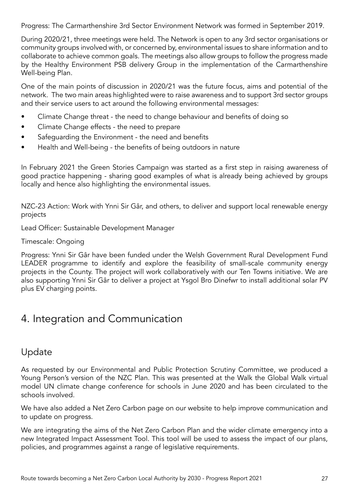Progress: The Carmarthenshire 3rd Sector Environment Network was formed in September 2019.

During 2020/21, three meetings were held. The Network is open to any 3rd sector organisations or community groups involved with, or concerned by, environmental issues to share information and to collaborate to achieve common goals. The meetings also allow groups to follow the progress made by the Healthy Environment PSB delivery Group in the implementation of the Carmarthenshire Well-being Plan.

One of the main points of discussion in 2020/21 was the future focus, aims and potential of the network. The two main areas highlighted were to raise awareness and to support 3rd sector groups and their service users to act around the following environmental messages:

- Climate Change threat the need to change behaviour and benefits of doing so
- Climate Change effects the need to prepare
- Safequarding the Environment the need and benefits
- Health and Well-being the benefits of being outdoors in nature

In February 2021 the Green Stories Campaign was started as a first step in raising awareness of good practice happening - sharing good examples of what is already being achieved by groups locally and hence also highlighting the environmental issues.

NZC-23 Action: Work with Ynni Sir Gâr, and others, to deliver and support local renewable energy projects

Lead Officer: Sustainable Development Manager

Timescale: Ongoing

Progress: Ynni Sir Gâr have been funded under the Welsh Government Rural Development Fund LEADER programme to identify and explore the feasibility of small-scale community energy projects in the County. The project will work collaboratively with our Ten Towns initiative. We are also supporting Ynni Sir Gâr to deliver a project at Ysgol Bro Dinefwr to install additional solar PV plus EV charging points.

# 4. Integration and Communication

# Update

As requested by our Environmental and Public Protection Scrutiny Committee, we produced a Young Person's version of the NZC Plan. This was presented at the Walk the Global Walk virtual model UN climate change conference for schools in June 2020 and has been circulated to the schools involved.

We have also added a Net Zero Carbon page on our website to help improve communication and to update on progress.

We are integrating the aims of the Net Zero Carbon Plan and the wider climate emergency into a new Integrated Impact Assessment Tool. This tool will be used to assess the impact of our plans, policies, and programmes against a range of legislative requirements.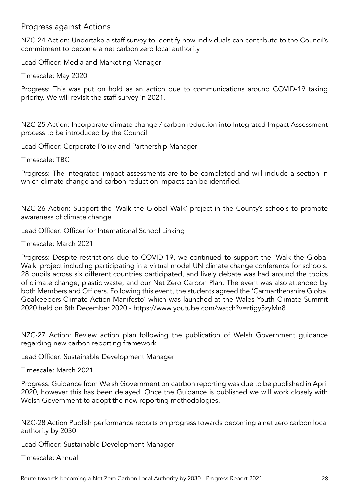### Progress against Actions

NZC-24 Action: Undertake a staff survey to identify how individuals can contribute to the Council's commitment to become a net carbon zero local authority

Lead Officer: Media and Marketing Manager

Timescale: May 2020

Progress: This was put on hold as an action due to communications around COVID-19 taking priority. We will revisit the staff survey in 2021.

NZC-25 Action: Incorporate climate change / carbon reduction into Integrated Impact Assessment process to be introduced by the Council

Lead Officer: Corporate Policy and Partnership Manager

Timescale: TBC

Progress: The integrated impact assessments are to be completed and will include a section in which climate change and carbon reduction impacts can be identified.

NZC-26 Action: Support the 'Walk the Global Walk' project in the County's schools to promote awareness of climate change

Lead Officer: Officer for International School Linking

Timescale: March 2021

Progress: Despite restrictions due to COVID-19, we continued to support the 'Walk the Global Walk' project including participating in a virtual model UN climate change conference for schools. 28 pupils across six different countries participated, and lively debate was had around the topics of climate change, plastic waste, and our Net Zero Carbon Plan. The event was also attended by both Members and Officers. Following this event, the students agreed the 'Carmarthenshire Global Goalkeepers Climate Action Manifesto' which was launched at the Wales Youth Climate Summit 2020 held on 8th December 2020 - https://www.youtube.com/watch?v=rtigy5zyMn8

NZC-27 Action: Review action plan following the publication of Welsh Government guidance regarding new carbon reporting framework

Lead Officer: Sustainable Development Manager

Timescale: March 2021

Progress: Guidance from Welsh Government on catrbon reporting was due to be published in April 2020, however this has been delayed. Once the Guidance is published we will work closely with Welsh Government to adopt the new reporting methodologies.

NZC-28 Action Publish performance reports on progress towards becoming a net zero carbon local authority by 2030

Lead Officer: Sustainable Development Manager

Timescale: Annual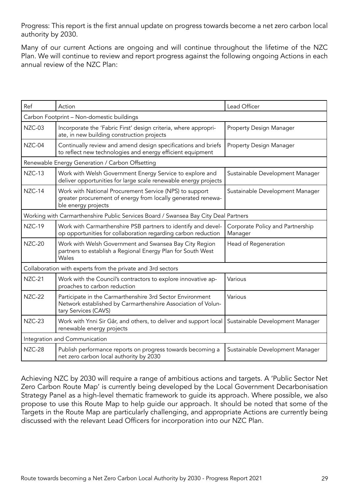Progress: This report is the first annual update on progress towards become a net zero carbon local authority by 2030.

Many of our current Actions are ongoing and will continue throughout the lifetime of the NZC Plan. We will continue to review and report progress against the following ongoing Actions in each annual review of the NZC Plan:

| Ref           | Action                                                                                                                                            | Lead Officer                                |  |
|---------------|---------------------------------------------------------------------------------------------------------------------------------------------------|---------------------------------------------|--|
|               | Carbon Footprint - Non-domestic buildings                                                                                                         |                                             |  |
| NZC-03        | Incorporate the 'Fabric First' design criteria, where appropri-<br>ate, in new building construction projects                                     | Property Design Manager                     |  |
| NZC-04        | Continually review and amend design specifications and briefs<br>to reflect new technologies and energy efficient equipment                       | Property Design Manager                     |  |
|               | Renewable Energy Generation / Carbon Offsetting                                                                                                   |                                             |  |
| NZC-13        | Work with Welsh Government Energy Service to explore and<br>deliver opportunities for large scale renewable energy projects                       | Sustainable Development Manager             |  |
| NZC-14        | Work with National Procurement Service (NPS) to support<br>greater procurement of energy from locally generated renewa-<br>ble energy projects    | Sustainable Development Manager             |  |
|               | Working with Carmarthenshire Public Services Board / Swansea Bay City Deal Partners                                                               |                                             |  |
| <b>NZC-19</b> | Work with Carmarthenshire PSB partners to identify and devel-<br>op opportunities for collaboration regarding carbon reduction                    | Corporate Policy and Partnership<br>Manager |  |
| <b>NZC-20</b> | Work with Welsh Government and Swansea Bay City Region<br>partners to establish a Regional Energy Plan for South West<br>Wales                    | Head of Regeneration                        |  |
|               | Collaboration with experts from the private and 3rd sectors                                                                                       |                                             |  |
| <b>NZC-21</b> | Work with the Council's contractors to explore innovative ap-<br>proaches to carbon reduction                                                     | Various                                     |  |
| <b>NZC-22</b> | Participate in the Carmarthenshire 3rd Sector Environment<br>Network established by Carmarthenshire Association of Volun-<br>tary Services (CAVS) | Various                                     |  |
| <b>NZC-23</b> | Work with Ynni Sir Gâr, and others, to deliver and support local<br>renewable energy projects                                                     | Sustainable Development Manager             |  |
|               | Integration and Communication                                                                                                                     |                                             |  |
| <b>NZC-28</b> | Publish performance reports on progress towards becoming a<br>net zero carbon local authority by 2030                                             | Sustainable Development Manager             |  |

Achieving NZC by 2030 will require a range of ambitious actions and targets. A 'Public Sector Net Zero Carbon Route Map' is currently being developed by the Local Government Decarbonisation Strategy Panel as a high-level thematic framework to guide its approach. Where possible, we also propose to use this Route Map to help guide our approach. It should be noted that some of the Targets in the Route Map are particularly challenging, and appropriate Actions are currently being discussed with the relevant Lead Officers for incorporation into our NZC Plan.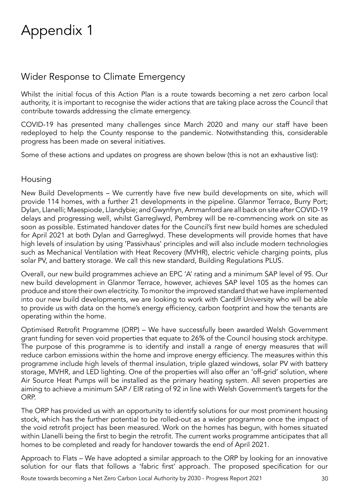# Appendix 1

# Wider Response to Climate Emergency

Whilst the initial focus of this Action Plan is a route towards becoming a net zero carbon local authority, it is important to recognise the wider actions that are taking place across the Council that contribute towards addressing the climate emergency.

COVID-19 has presented many challenges since March 2020 and many our staff have been redeployed to help the County response to the pandemic. Notwithstanding this, considerable progress has been made on several initiatives.

Some of these actions and updates on progress are shown below (this is not an exhaustive list):

### Housing

New Build Developments – We currently have five new build developments on site, which will provide 114 homes, with a further 21 developments in the pipeline. Glanmor Terrace, Burry Port; Dylan, Llanelli; Maespiode, Llandybie; and Gwynfryn, Ammanford are all back on site after COVID-19 delays and progressing well, whilst Garreglwyd, Pembrey will be re-commencing work on site as soon as possible. Estimated handover dates for the Council's first new build homes are scheduled for April 2021 at both Dylan and Garreglwyd. These developments will provide homes that have high levels of insulation by using 'Passivhaus' principles and will also include modern technologies such as Mechanical Ventilation with Heat Recovery (MVHR), electric vehicle charging points, plus solar PV, and battery storage. We call this new standard, Building Regulations PLUS.

Overall, our new build programmes achieve an EPC 'A' rating and a minimum SAP level of 95. Our new build development in Glanmor Terrace, however, achieves SAP level 105 as the homes can produce and store their own electricity. To monitor the improved standard that we have implemented into our new build developments, we are looking to work with Cardiff University who will be able to provide us with data on the home's energy efficiency, carbon footprint and how the tenants are operating within the home.

Optimised Retrofit Programme (ORP) – We have successfully been awarded Welsh Government grant funding for seven void properties that equate to 26% of the Council housing stock architype. The purpose of this programme is to identify and install a range of energy measures that will reduce carbon emissions within the home and improve energy efficiency. The measures within this programme include high levels of thermal insulation, triple glazed windows, solar PV with battery storage, MVHR, and LED lighting. One of the properties will also offer an 'off-grid' solution, where Air Source Heat Pumps will be installed as the primary heating system. All seven properties are aiming to achieve a minimum SAP / EIR rating of 92 in line with Welsh Government's targets for the ORP.

The ORP has provided us with an opportunity to identify solutions for our most prominent housing stock, which has the further potential to be rolled-out as a wider programme once the impact of the void retrofit project has been measured. Work on the homes has begun, with homes situated within Llanelli being the first to begin the retrofit. The current works programme anticipates that all homes to be completed and ready for handover towards the end of April 2021.

Approach to Flats – We have adopted a similar approach to the ORP by looking for an innovative solution for our flats that follows a 'fabric first' approach. The proposed specification for our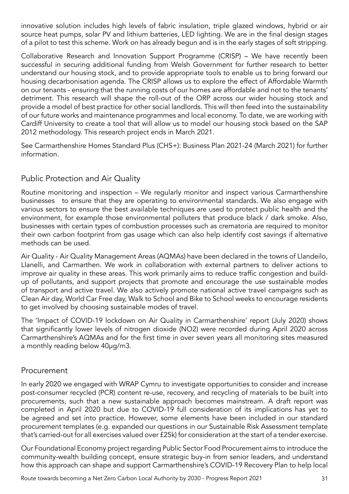innovative solution includes high levels of fabric insulation, triple glazed windows, hybrid or air source heat pumps, solar PV and lithium batteries, LED lighting. We are in the final design stages of a pilot to test this scheme. Work on has already begun and is in the early stages of soft stripping.

Collaborative Research and Innovation Support Programme (CRISP) – We have recently been successful in securing additional funding from Welsh Government for further research to better understand our housing stock, and to provide appropriate tools to enable us to bring forward our housing decarbonisation agenda. The CRISP allows us to explore the effect of Affordable Warmth on our tenants - ensuring that the running costs of our homes are affordable and not to the tenants' detriment. This research will shape the roll-out of the ORP across our wider housing stock and provide a model of best practice for other social landlords. This will then feed into the sustainability of our future works and maintenance programmes and local economy. To date, we are working with Cardiff University to create a tool that will allow us to model our housing stock based on the SAP 2012 methodology. This research project ends in March 2021.

See Carmarthenshire Homes Standard Plus (CHS+): Business Plan 2021-24 (March 2021) for further information.

# Public Protection and Air Quality

Routine monitoring and inspection – We regularly monitor and inspect various Carmarthenshire businesses to ensure that they are operating to environmental standards. We also engage with various sectors to ensure the best available techniques are used to protect public health and the environment, for example those environmental polluters that produce black / dark smoke. Also, businesses with certain types of combustion processes such as crematoria are required to monitor their own carbon footprint from gas usage which can also help identify cost savings if alternative methods can be used.

Air Quality - Air Quality Management Areas (AQMAs) have been declared in the towns of Llandeilo, Llanelli, and Carmarthen. We work in collaboration with external partners to deliver actions to improve air quality in these areas. This work primarily aims to reduce traffic congestion and buildup of pollutants, and support projects that promote and encourage the use sustainable modes of transport and active travel. We also actively promote national active travel campaigns such as Clean Air day, World Car Free day, Walk to School and Bike to School weeks to encourage residents to get involved by choosing sustainable modes of travel.

The 'Impact of COVID-19 lockdown on Air Quality in Carmarthenshire' report (July 2020) shows that significantly lower levels of nitrogen dioxide (NO2) were recorded during April 2020 across Carmarthenshire's AQMAs and for the first time in over seven years all monitoring sites measured a monthly reading below 40μg/m3.

### Procurement

In early 2020 we engaged with WRAP Cymru to investigate opportunities to consider and increase post-consumer recycled (PCR) content re-use, recovery, and recycling of materials to be built into procurements, such that a new sustainable approach becomes mainstream. A draft report was completed in April 2020 but due to COVID-19 full consideration of its implications has yet to be agreed and set into practice. However, some elements have been included in our standard procurement templates (e.g. expanded our questions in our Sustainable Risk Assessment template that's carried-out for all exercises valued over £25k) for consideration at the start of a tender exercise.

Our Foundational Economy project regarding Public Sector Food Procurement aims to introduce the community-wealth building concept, ensure strategic buy-in from senior leaders, and understand how this approach can shape and support Carmarthenshire's COVID-19 Recovery Plan to help local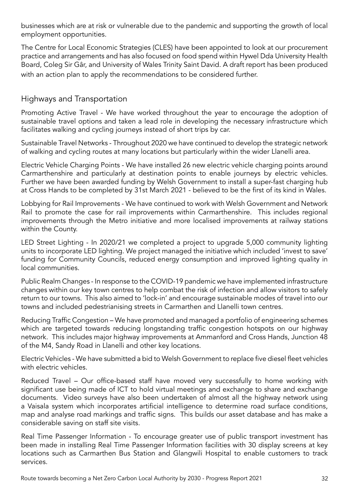businesses which are at risk or vulnerable due to the pandemic and supporting the growth of local employment opportunities.

The Centre for Local Economic Strategies (CLES) have been appointed to look at our procurement practice and arrangements and has also focused on food spend within Hywel Dda University Health Board, Coleg Sir Gâr, and University of Wales Trinity Saint David. A draft report has been produced with an action plan to apply the recommendations to be considered further.

### Highways and Transportation

Promoting Active Travel - We have worked throughout the year to encourage the adoption of sustainable travel options and taken a lead role in developing the necessary infrastructure which facilitates walking and cycling journeys instead of short trips by car.

Sustainable Travel Networks - Throughout 2020 we have continued to develop the strategic network of walking and cycling routes at many locations but particularly within the wider Llanelli area.

Electric Vehicle Charging Points - We have installed 26 new electric vehicle charging points around Carmarthenshire and particularly at destination points to enable journeys by electric vehicles. Further we have been awarded funding by Welsh Government to install a super-fast charging hub at Cross Hands to be completed by 31st March 2021 - believed to be the first of its kind in Wales.

Lobbying for Rail Improvements - We have continued to work with Welsh Government and Network Rail to promote the case for rail improvements within Carmarthenshire. This includes regional improvements through the Metro initiative and more localised improvements at railway stations within the County.

LED Street Lighting - In 2020/21 we completed a project to upgrade 5,000 community lighting units to incorporate LED lighting. We project managed the initiative which included 'invest to save' funding for Community Councils, reduced energy consumption and improved lighting quality in local communities.

Public Realm Changes - In response to the COVID-19 pandemic we have implemented infrastructure changes within our key town centres to help combat the risk of infection and allow visitors to safely return to our towns. This also aimed to 'lock-in' and encourage sustainable modes of travel into our towns and included pedestrianising streets in Carmarthen and Llanelli town centres.

Reducing Traffic Congestion – We have promoted and managed a portfolio of engineering schemes which are targeted towards reducing longstanding traffic congestion hotspots on our highway network. This includes major highway improvements at Ammanford and Cross Hands, Junction 48 of the M4, Sandy Road in Llanelli and other key locations.

Electric Vehicles - We have submitted a bid to Welsh Government to replace five diesel fleet vehicles with electric vehicles.

Reduced Travel – Our office-based staff have moved very successfully to home working with significant use being made of ICT to hold virtual meetings and exchange to share and exchange documents. Video surveys have also been undertaken of almost all the highway network using a Vaisala system which incorporates artificial intelligence to determine road surface conditions, map and analyse road markings and traffic signs. This builds our asset database and has make a considerable saving on staff site visits.

Real Time Passenger Information - To encourage greater use of public transport investment has been made in installing Real Time Passenger Information facilities with 30 display screens at key locations such as Carmarthen Bus Station and Glangwili Hospital to enable customers to track services.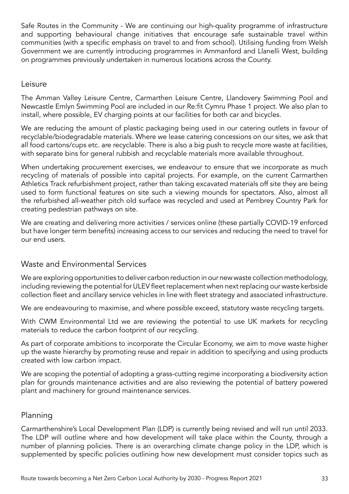Safe Routes in the Community - We are continuing our high-quality programme of infrastructure and supporting behavioural change initiatives that encourage safe sustainable travel within communities (with a specific emphasis on travel to and from school). Utilising funding from Welsh Government we are currently introducing programmes in Ammanford and Llanelli West, building on programmes previously undertaken in numerous locations across the County.

### Leisure

The Amman Valley Leisure Centre, Carmarthen Leisure Centre, Llandovery Swimming Pool and Newcastle Emlyn Swimming Pool are included in our Re:fit Cymru Phase 1 project. We also plan to install, where possible, EV charging points at our facilities for both car and bicycles.

We are reducing the amount of plastic packaging being used in our catering outlets in favour of recyclable/biodegradable materials. Where we lease catering concessions on our sites, we ask that all food cartons/cups etc. are recyclable. There is also a big push to recycle more waste at facilities, with separate bins for general rubbish and recyclable materials more available throughout.

When undertaking procurement exercises, we endeavour to ensure that we incorporate as much recycling of materials of possible into capital projects. For example, on the current Carmarthen Athletics Track refurbishment project, rather than taking excavated materials off site they are being used to form functional features on site such a viewing mounds for spectators. Also, almost all the refurbished all-weather pitch old surface was recycled and used at Pembrey Country Park for creating pedestrian pathways on site.

We are creating and delivering more activities / services online (these partially COVID-19 enforced but have longer term benefits) increasing access to our services and reducing the need to travel for our end users.

## Waste and Environmental Services

We are exploring opportunities to deliver carbon reduction in our new waste collection methodology, including reviewing the potential for ULEV fleet replacement when next replacing our waste kerbside collection fleet and ancillary service vehicles in line with fleet strategy and associated infrastructure.

We are endeavouring to maximise, and where possible exceed, statutory waste recycling targets.

With CWM Environmental Ltd we are reviewing the potential to use UK markets for recycling materials to reduce the carbon footprint of our recycling.

As part of corporate ambitions to incorporate the Circular Economy, we aim to move waste higher up the waste hierarchy by promoting reuse and repair in addition to specifying and using products created with low carbon impact.

We are scoping the potential of adopting a grass-cutting regime incorporating a biodiversity action plan for grounds maintenance activities and are also reviewing the potential of battery powered plant and machinery for ground maintenance services.

### Planning

Carmarthenshire's Local Development Plan (LDP) is currently being revised and will run until 2033. The LDP will outline where and how development will take place within the County, through a number of planning policies. There is an overarching climate change policy in the LDP, which is supplemented by specific policies outlining how new development must consider topics such as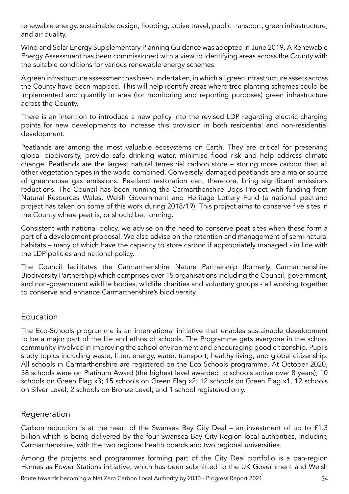renewable energy, sustainable design, flooding, active travel, public transport, green infrastructure, and air quality.

Wind and Solar Energy Supplementary Planning Guidance was adopted in June 2019. A Renewable Energy Assessment has been commissioned with a view to identifying areas across the County with the suitable conditions for various renewable energy schemes.

A green infrastructure assessment has been undertaken, in which all green infrastructure assets across the County have been mapped. This will help identify areas where tree planting schemes could be implemented and quantify in area (for monitoring and reporting purposes) green infrastructure across the County.

There is an intention to introduce a new policy into the revised LDP regarding electric charging points for new developments to increase this provision in both residential and non-residential development.

Peatlands are among the most valuable ecosystems on Earth. They are critical for preserving global biodiversity, provide safe drinking water, minimise flood risk and help address climate change. Peatlands are the largest natural terrestrial carbon store – storing more carbon than all other vegetation types in the world combined. Conversely, damaged peatlands are a major source of greenhouse gas emissions. Peatland restoration can, therefore, bring significant emissions reductions. The Council has been running the Carmarthenshire Bogs Project with funding from Natural Resources Wales, Welsh Government and Heritage Lottery Fund (a national peatland project has taken on some of this work during 2018/19). This project aims to conserve five sites in the County where peat is, or should be, forming.

Consistent with national policy, we advise on the need to conserve peat sites when these form a part of a development proposal. We also advise on the retention and management of semi-natural habitats – many of which have the capacity to store carbon if appropriately managed - in line with the LDP policies and national policy.

The Council facilitates the Carmarthenshire Nature Partnership (formerly Carmarthenshire Biodiversity Partnership) which comprises over 15 organisations including the Council, government, and non-government wildlife bodies, wildlife charities and voluntary groups - all working together to conserve and enhance Carmarthenshire's biodiversity.

### Education

The Eco-Schools programme is an international initiative that enables sustainable development to be a major part of the life and ethos of schools. The Programme gets everyone in the school community involved in improving the school environment and encouraging good citizenship. Pupils study topics including waste, litter, energy, water, transport, healthy living, and global citizenship. All schools in Carmarthenshire are registered on the Eco Schools programme. At October 2020, 58 schools were on Platinum Award (the highest level awarded to schools active over 8 years); 10 schools on Green Flag x3; 15 schools on Green Flag x2; 12 schools on Green Flag x1, 12 schools on Silver Level; 2 schools on Bronze Level; and 1 school registered only.

### Regeneration

Carbon reduction is at the heart of the Swansea Bay City Deal – an investment of up to £1.3 billion which is being delivered by the four Swansea Bay City Region local authorities, including Carmarthenshire, with the two regional health boards and two regional universities.

Among the projects and programmes forming part of the City Deal portfolio is a pan-region Homes as Power Stations initiative, which has been submitted to the UK Government and Welsh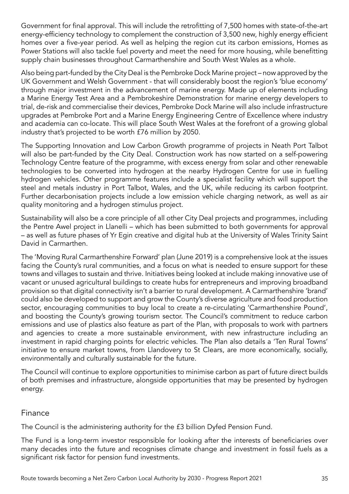Government for final approval. This will include the retrofitting of 7,500 homes with state-of-the-art energy-efficiency technology to complement the construction of 3,500 new, highly energy efficient homes over a five-year period. As well as helping the region cut its carbon emissions, Homes as Power Stations will also tackle fuel poverty and meet the need for more housing, while benefitting supply chain businesses throughout Carmarthenshire and South West Wales as a whole.

Also being part-funded by the City Deal is the Pembroke Dock Marine project – now approved by the UK Government and Welsh Government - that will considerably boost the region's 'blue economy' through major investment in the advancement of marine energy. Made up of elements including a Marine Energy Test Area and a Pembrokeshire Demonstration for marine energy developers to trial, de-risk and commercialise their devices, Pembroke Dock Marine will also include infrastructure upgrades at Pembroke Port and a Marine Energy Engineering Centre of Excellence where industry and academia can co-locate. This will place South West Wales at the forefront of a growing global industry that's projected to be worth £76 million by 2050.

The Supporting Innovation and Low Carbon Growth programme of projects in Neath Port Talbot will also be part-funded by the City Deal. Construction work has now started on a self-powering Technology Centre feature of the programme, with excess energy from solar and other renewable technologies to be converted into hydrogen at the nearby Hydrogen Centre for use in fuelling hydrogen vehicles. Other programme features include a specialist facility which will support the steel and metals industry in Port Talbot, Wales, and the UK, while reducing its carbon footprint. Further decarbonisation projects include a low emission vehicle charging network, as well as air quality monitoring and a hydrogen stimulus project.

Sustainability will also be a core principle of all other City Deal projects and programmes, including the Pentre Awel project in Llanelli – which has been submitted to both governments for approval – as well as future phases of Yr Egin creative and digital hub at the University of Wales Trinity Saint David in Carmarthen.

The 'Moving Rural Carmarthenshire Forward' plan (June 2019) is a comprehensive look at the issues facing the County's rural communities, and a focus on what is needed to ensure support for these towns and villages to sustain and thrive. Initiatives being looked at include making innovative use of vacant or unused agricultural buildings to create hubs for entrepreneurs and improving broadband provision so that digital connectivity isn't a barrier to rural development. A Carmarthenshire 'brand' could also be developed to support and grow the County's diverse agriculture and food production sector, encouraging communities to buy local to create a re-circulating 'Carmarthenshire Pound', and boosting the County's growing tourism sector. The Council's commitment to reduce carbon emissions and use of plastics also feature as part of the Plan, with proposals to work with partners and agencies to create a more sustainable environment, with new infrastructure including an investment in rapid charging points for electric vehicles. The Plan also details a 'Ten Rural Towns' initiative to ensure market towns, from Llandovery to St Clears, are more economically, socially, environmentally and culturally sustainable for the future.

The Council will continue to explore opportunities to minimise carbon as part of future direct builds of both premises and infrastructure, alongside opportunities that may be presented by hydrogen energy.

### Finance

The Council is the administering authority for the £3 billion Dyfed Pension Fund.

The Fund is a long-term investor responsible for looking after the interests of beneficiaries over many decades into the future and recognises climate change and investment in fossil fuels as a significant risk factor for pension fund investments.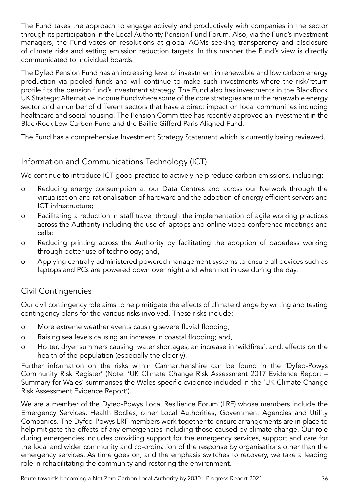The Fund takes the approach to engage actively and productively with companies in the sector through its participation in the Local Authority Pension Fund Forum. Also, via the Fund's investment managers, the Fund votes on resolutions at global AGMs seeking transparency and disclosure of climate risks and setting emission reduction targets. In this manner the Fund's view is directly communicated to individual boards.

The Dyfed Pension Fund has an increasing level of investment in renewable and low carbon energy production via pooled funds and will continue to make such investments where the risk/return profile fits the pension fund's investment strategy. The Fund also has investments in the BlackRock UK Strategic Alternative Income Fund where some of the core strategies are in the renewable energy sector and a number of different sectors that have a direct impact on local communities including healthcare and social housing. The Pension Committee has recently approved an investment in the BlackRock Low Carbon Fund and the Baillie Gifford Paris Aligned Fund.

The Fund has a comprehensive Investment Strategy Statement which is currently being reviewed.

## Information and Communications Technology (ICT)

We continue to introduce ICT good practice to actively help reduce carbon emissions, including:

- o Reducing energy consumption at our Data Centres and across our Network through the virtualisation and rationalisation of hardware and the adoption of energy efficient servers and ICT infrastructure;
- o Facilitating a reduction in staff travel through the implementation of agile working practices across the Authority including the use of laptops and online video conference meetings and calls;
- o Reducing printing across the Authority by facilitating the adoption of paperless working through better use of technology; and,
- o Applying centrally administered powered management systems to ensure all devices such as laptops and PCs are powered down over night and when not in use during the day.

## Civil Contingencies

Our civil contingency role aims to help mitigate the effects of climate change by writing and testing contingency plans for the various risks involved. These risks include:

- o More extreme weather events causing severe fluvial flooding;
- o Raising sea levels causing an increase in coastal flooding; and,
- o Hotter, dryer summers causing water shortages; an increase in 'wildfires'; and, effects on the health of the population (especially the elderly).

Further information on the risks within Carmarthenshire can be found in the 'Dyfed-Powys Community Risk Register' (Note: 'UK Climate Change Risk Assessment 2017 Evidence Report – Summary for Wales' summarises the Wales-specific evidence included in the 'UK Climate Change Risk Assessment Evidence Report').

We are a member of the Dyfed-Powys Local Resilience Forum (LRF) whose members include the Emergency Services, Health Bodies, other Local Authorities, Government Agencies and Utility Companies. The Dyfed-Powys LRF members work together to ensure arrangements are in place to help mitigate the effects of any emergencies including those caused by climate change. Our role during emergencies includes providing support for the emergency services, support and care for the local and wider community and co-ordination of the response by organisations other than the emergency services. As time goes on, and the emphasis switches to recovery, we take a leading role in rehabilitating the community and restoring the environment.